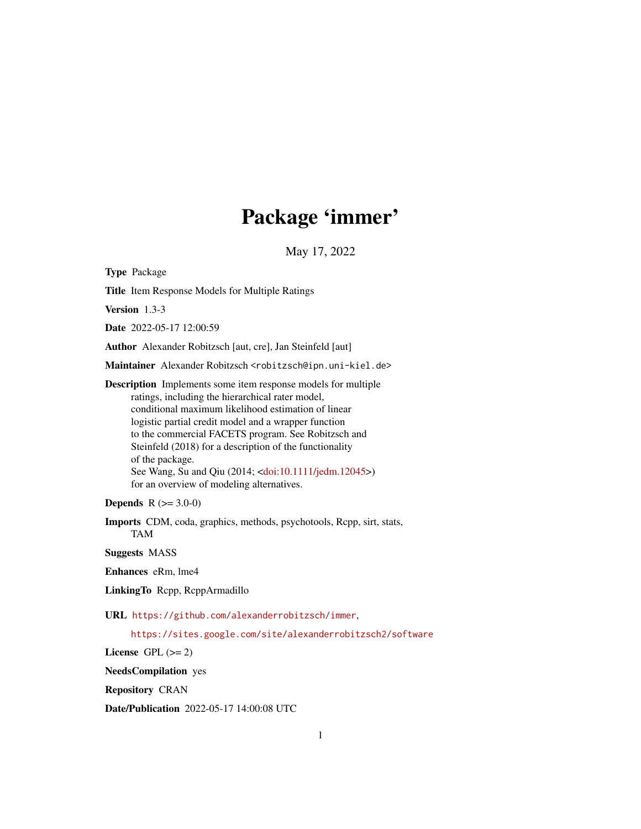## Package 'immer'

May 17, 2022

<span id="page-0-0"></span>Type Package Title Item Response Models for Multiple Ratings Version 1.3-3 Date 2022-05-17 12:00:59 Author Alexander Robitzsch [aut, cre], Jan Steinfeld [aut] Maintainer Alexander Robitzsch <robitzsch@ipn.uni-kiel.de> Description Implements some item response models for multiple ratings, including the hierarchical rater model, conditional maximum likelihood estimation of linear logistic partial credit model and a wrapper function to the commercial FACETS program. See Robitzsch and Steinfeld (2018) for a description of the functionality of the package. See Wang, Su and Qiu (2014; [<doi:10.1111/jedm.12045>](https://doi.org/10.1111/jedm.12045)) for an overview of modeling alternatives.

**Depends**  $R (= 3.0-0)$ 

Imports CDM, coda, graphics, methods, psychotools, Rcpp, sirt, stats, TAM

Suggests MASS

Enhances eRm, lme4

LinkingTo Rcpp, RcppArmadillo

URL <https://github.com/alexanderrobitzsch/immer>,

<https://sites.google.com/site/alexanderrobitzsch2/software>

License GPL  $(>= 2)$ 

NeedsCompilation yes

Repository CRAN

Date/Publication 2022-05-17 14:00:08 UTC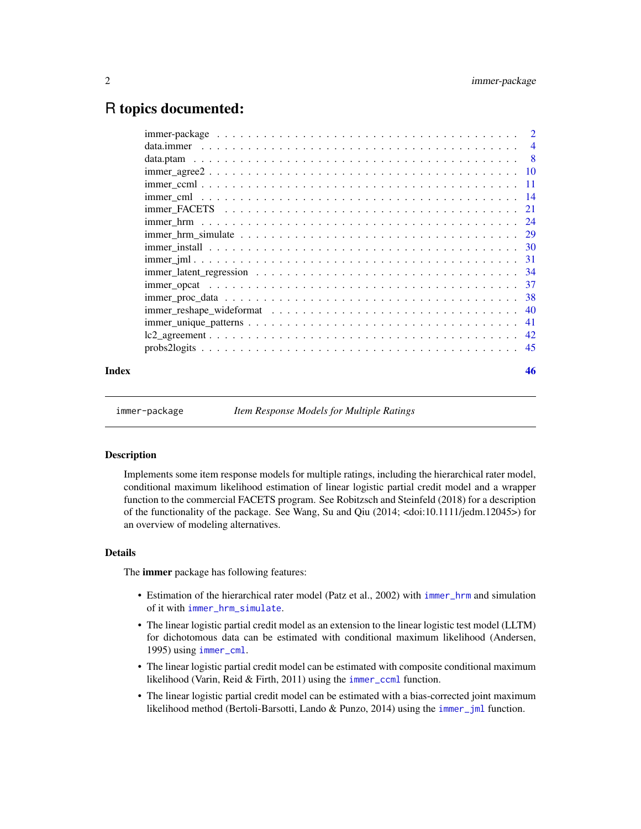## <span id="page-1-0"></span>R topics documented:

| Index | 46 |
|-------|----|

immer-package *Item Response Models for Multiple Ratings*

## **Description**

Implements some item response models for multiple ratings, including the hierarchical rater model, conditional maximum likelihood estimation of linear logistic partial credit model and a wrapper function to the commercial FACETS program. See Robitzsch and Steinfeld (2018) for a description of the functionality of the package. See Wang, Su and Qiu (2014; <doi:10.1111/jedm.12045>) for an overview of modeling alternatives.

## Details

The immer package has following features:

- Estimation of the hierarchical rater model (Patz et al., 2002) with [immer\\_hrm](#page-23-1) and simulation of it with [immer\\_hrm\\_simulate](#page-28-1).
- The linear logistic partial credit model as an extension to the linear logistic test model (LLTM) for dichotomous data can be estimated with conditional maximum likelihood (Andersen, 1995) using [immer\\_cml](#page-13-1).
- The linear logistic partial credit model can be estimated with composite conditional maximum likelihood (Varin, Reid & Firth, 2011) using the [immer\\_ccml](#page-10-1) function.
- The linear logistic partial credit model can be estimated with a bias-corrected joint maximum likelihood method (Bertoli-Barsotti, Lando & Punzo, 2014) using the [immer\\_jml](#page-30-1) function.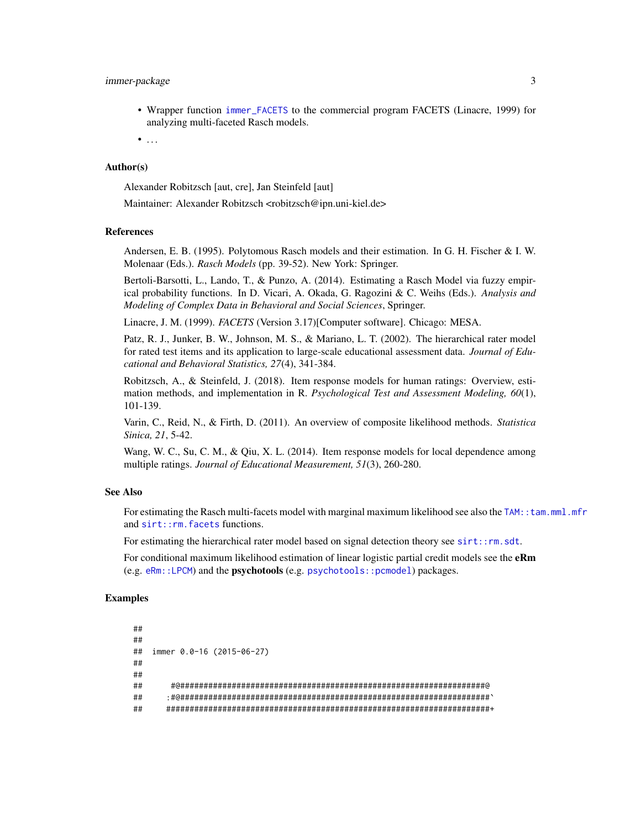## <span id="page-2-0"></span>immer-package 3

- Wrapper function [immer\\_FACETS](#page-20-1) to the commercial program FACETS (Linacre, 1999) for analyzing multi-faceted Rasch models.
- $\bullet$  ...

## Author(s)

Alexander Robitzsch [aut, cre], Jan Steinfeld [aut]

Maintainer: Alexander Robitzsch <robitzsch@ipn.uni-kiel.de>

#### References

Andersen, E. B. (1995). Polytomous Rasch models and their estimation. In G. H. Fischer & I. W. Molenaar (Eds.). *Rasch Models* (pp. 39-52). New York: Springer.

Bertoli-Barsotti, L., Lando, T., & Punzo, A. (2014). Estimating a Rasch Model via fuzzy empirical probability functions. In D. Vicari, A. Okada, G. Ragozini & C. Weihs (Eds.). *Analysis and Modeling of Complex Data in Behavioral and Social Sciences*, Springer.

Linacre, J. M. (1999). *FACETS* (Version 3.17)[Computer software]. Chicago: MESA.

Patz, R. J., Junker, B. W., Johnson, M. S., & Mariano, L. T. (2002). The hierarchical rater model for rated test items and its application to large-scale educational assessment data. *Journal of Educational and Behavioral Statistics, 27*(4), 341-384.

Robitzsch, A., & Steinfeld, J. (2018). Item response models for human ratings: Overview, estimation methods, and implementation in R. *Psychological Test and Assessment Modeling, 60*(1), 101-139.

Varin, C., Reid, N., & Firth, D. (2011). An overview of composite likelihood methods. *Statistica Sinica, 21*, 5-42.

Wang, W. C., Su, C. M., & Qiu, X. L. (2014). Item response models for local dependence among multiple ratings. *Journal of Educational Measurement, 51*(3), 260-280.

#### See Also

For estimating the Rasch multi-facets model with marginal maximum likelihood see also the [TAM::tam.mml.mfr](#page-0-0) and [sirt::rm.facets](#page-0-0) functions.

For estimating the hierarchical rater model based on signal detection theory see sirt:: rm. sdt.

For conditional maximum likelihood estimation of linear logistic partial credit models see the **eRm** (e.g. [eRm::LPCM](#page-0-0)) and the psychotools (e.g. [psychotools::pcmodel](#page-0-0)) packages.

```
##
##
## immer 0.0-16 (2015-06-27)
##
##
## #@#################################################################@
## :#@##################################################################`
## #####################################################################+
```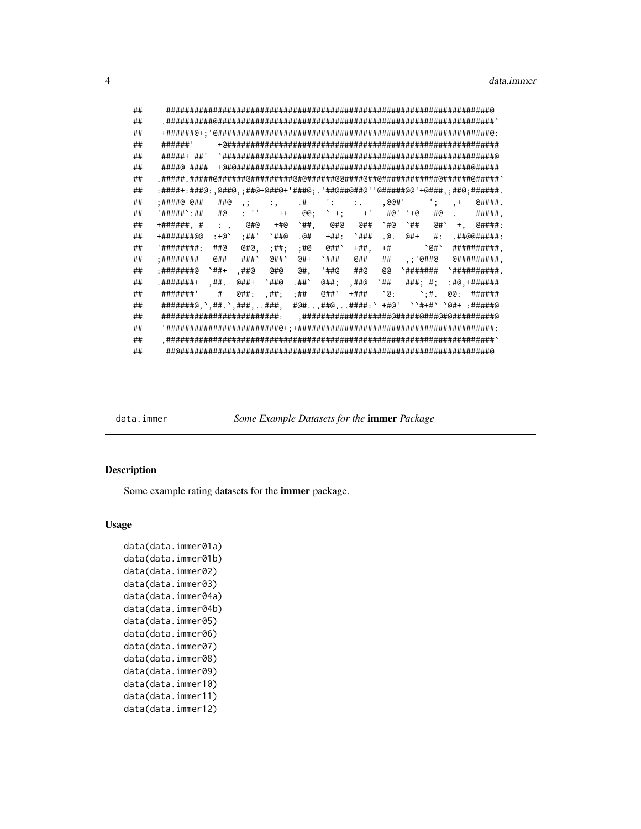<span id="page-3-0"></span>

| ## |                                                                           |                             |                 |         |         |                                 |           |                                     |                     |        |     |                                       |
|----|---------------------------------------------------------------------------|-----------------------------|-----------------|---------|---------|---------------------------------|-----------|-------------------------------------|---------------------|--------|-----|---------------------------------------|
| ## |                                                                           |                             |                 |         |         |                                 |           |                                     |                     |        |     |                                       |
| ## |                                                                           |                             |                 |         |         |                                 |           |                                     |                     |        |     |                                       |
| ## | ######                                                                    |                             |                 |         |         |                                 |           |                                     |                     |        |     |                                       |
| ## | #####+ ##'                                                                |                             |                 |         |         |                                 |           |                                     |                     |        |     |                                       |
| ## | ####@ ####                                                                |                             |                 |         |         |                                 |           |                                     |                     |        |     |                                       |
| ## |                                                                           |                             |                 |         |         |                                 |           |                                     |                     |        |     |                                       |
| ## | :####+:###@:,@##@,;##@+@##@+'###@;.'##@##@##@''@#####@@'+@###,;##@;###### |                             |                 |         |         |                                 |           |                                     |                     |        |     |                                       |
| ## | :####@ @##                                                                | ##@                         |                 |         |         | , ; ; , , # ': :. , @@#' '; , + |           |                                     |                     |        |     | @####                                 |
| ## | '#####`:##                                                                | #@                          |                 |         |         | : '' ++ @@; `+; +' #@'`+@       |           |                                     |                     |        | #@. | #####                                 |
| ## | +######, #                                                                | $\mathcal{L}_{\mathcal{A}}$ | @#@             | +#@     |         | `##, @#@ @##                    |           | `#@`##                              |                     | @#`    |     | $+$ , $@$ ####                        |
| ## | +#######@@                                                                | $: +@'$                     | ;##'            | `##@    | . @#    |                                 | +##: 丶### | $\cdot$ @ $\cdot$                   | @#+                 | $\#$ : |     | .##@@#####                            |
| ## | '######## :                                                               | ##@                         | @#@.            | $;$ ##; | :#@     | $@$ ##                          | $+$ ##,   | $+#$                                |                     | ^ @# ` |     | ##########                            |
| ## | ;########                                                                 | (a##                        | ###`            | $@$ ##  | $(14 +$ | `###                            | @##       | ##                                  | .:'@##@             |        |     | @#########                            |
| ## | :#######@                                                                 | `##+                        | ,##@            | @#@     | @#.     | '##@                            | ##@       | aa                                  | `#######            |        |     | `##########                           |
| ## | .#######+                                                                 | ,##.                        | $@$ ##+ $*$ ##@ |         | .##`    | @##;                            | ,##@      | `##                                 | $\# \# \#$ ; $\#$ ; |        |     | :#@,+######                           |
| ## |                                                                           |                             | @##:            | ,##;    | :##     | @##`                            |           | $+$ ### $\degree$ (e: $\degree$ :#. |                     |        |     | $QQ:$ ######                          |
| ## | $\#$ #######@, `, ##. `, ###, ###,                                        |                             |                 |         |         |                                 |           |                                     |                     |        |     | #@###@####:` +#@' ``#+#` `@#+ :#####@ |
| ## | #########################                                                 |                             |                 |         |         |                                 |           |                                     |                     |        |     |                                       |
| ## |                                                                           |                             |                 |         |         |                                 |           |                                     |                     |        |     |                                       |
| ## |                                                                           |                             |                 |         |         |                                 |           |                                     |                     |        |     |                                       |
| ## |                                                                           |                             |                 |         |         |                                 |           |                                     |                     |        |     |                                       |

data.immer

Some Example Datasets for the immer Package

## Description

Some example rating datasets for the immer package.

## **Usage**

```
data(data.immer01a)
data(data.immer01b)
data(data.immer02)
data(data.immer03)
data(data.immer04a)
data(data.immer04b)
data(data.immer05)
data(data.immer06)
data(data.immer07)
data(data.immer08)
data(data.immer09)
data(data.immer10)
data(data.immer11)
data(data.immer12)
```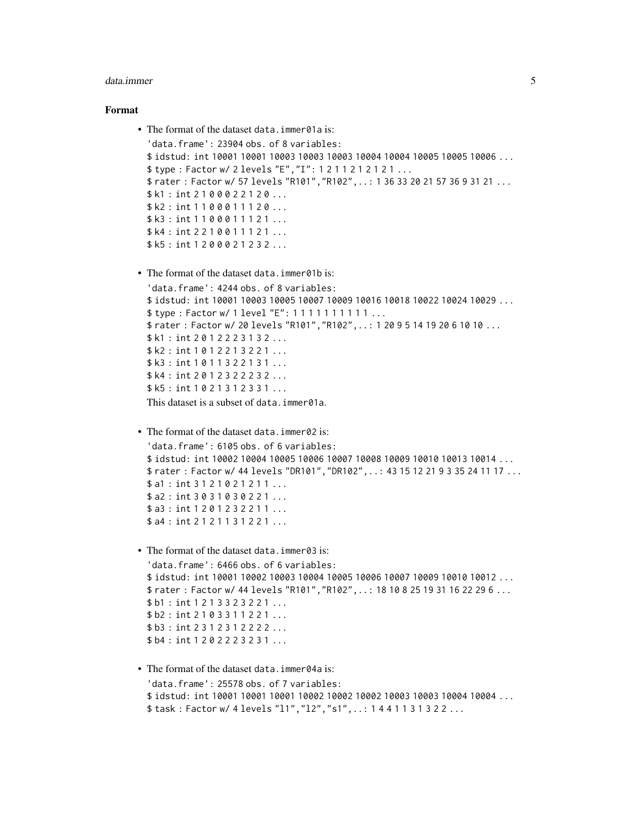#### data.immer 5

#### Format

```
• The format of the dataset data. immer01a is:
  'data.frame': 23904 obs. of 8 variables:
  $ idstud: int 10001 10001 10003 10003 10003 10004 10004 10005 10005 10006 ...
  $ type : Factor w/ 2 levels "E","I": 1 2 1 1 2 1 2 1 2 1 ...
  $ rater : Factor w/ 57 levels "R101","R102",..: 1 36 33 20 21 57 36 9 31 21 ...
  $ k1 : int 2 1 0 0 0 2 2 1 2 0 ...
  $ k2 : int 1 1 0 0 0 1 1 1 2 0 ...
  $ k3 : int 1 1 0 0 0 1 1 1 2 1 ...
  $ k4 : int 2 2 1 0 0 1 1 1 2 1 ...
  $ k5 : int 1 2 0 0 0 2 1 2 3 2 ...
```
• The format of the dataset data.immer01b is:

```
'data.frame': 4244 obs. of 8 variables:
$ idstud: int 10001 10003 10005 10007 10009 10016 10018 10022 10024 10029 ...
$ type : Factor w/ 1 level "E": 1 1 1 1 1 1 1 1 1 1 ...
$ rater : Factor w/ 20 levels "R101","R102",..: 1 20 9 5 14 19 20 6 10 10 ...
$ k1 : int 2 0 1 2 2 2 3 1 3 2 ...
$ k2 : int 1 0 1 2 2 1 3 2 2 1 ...
$ k3 : int 1 0 1 1 3 2 2 1 3 1 ...
$ k4 : int 2 0 1 2 3 2 2 2 3 2 ...
$ k5 : int 1 0 2 1 3 1 2 3 3 1 ...
This dataset is a subset of data.immer01a.
```
• The format of the dataset data.immer02 is:

```
'data.frame': 6105 obs. of 6 variables:
$ idstud: int 10002 10004 10005 10006 10007 10008 10009 10010 10013 10014 ...
$ rater : Factor w/ 44 levels "DR101","DR102",..: 43 15 12 21 9 3 35 24 11 17 ...
$ a1 : int 3 1 2 1 0 2 1 2 1 1 ...
$ a2 : int 3 0 3 1 0 3 0 2 2 1 ...
$a3: int 1201232211...$ a4 : int 2 1 2 1 1 3 1 2 2 1 ...
```
- The format of the dataset data.immer03 is: 'data.frame': 6466 obs. of 6 variables: \$ idstud: int 10001 10002 10003 10004 10005 10006 10007 10009 10010 10012 ... \$ rater : Factor w/ 44 levels "R101","R102",..: 18 10 8 25 19 31 16 22 29 6 ... \$ b1 : int 1 2 1 3 3 2 3 2 2 1 ... \$ b2 : int 2 1 0 3 3 1 1 2 2 1 ... \$ b3 : int 2 3 1 2 3 1 2 2 2 2 ... \$ b4 : int 1 2 0 2 2 2 3 2 3 1 ...
- The format of the dataset data.immer04a is: 'data.frame': 25578 obs. of 7 variables: \$ idstud: int 10001 10001 10001 10002 10002 10002 10003 10003 10004 10004 ... \$ task : Factor w/ 4 levels "l1","l2","s1",..: 1 4 4 1 1 3 1 3 2 2 ...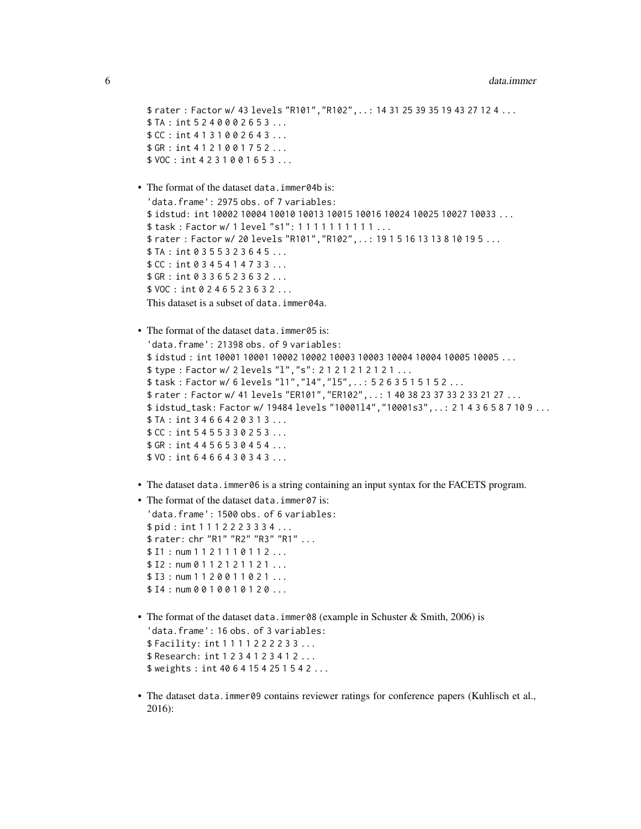```
$ rater : Factor w/ 43 levels "R101","R102",..: 14 31 25 39 35 19 43 27 12 4 ...
$ TA : int 5 2 4 0 0 0 2 6 5 3 ...
$ CC : int 4 1 3 1 0 0 2 6 4 3 ...
$ GR : int 4 1 2 1 0 0 1 7 5 2 ...
$ VOC : int 4 2 3 1 0 0 1 6 5 3 ...
```

```
• The format of the dataset data.immer04b is:
  'data.frame': 2975 obs. of 7 variables:
  $ idstud: int 10002 10004 10010 10013 10015 10016 10024 10025 10027 10033 ...
  $ task : Factor w/ 1 level "s1": 1 1 1 1 1 1 1 1 1 1 ...
  $ rater : Factor w/ 20 levels "R101","R102",..: 19 1 5 16 13 13 8 10 19 5 ...
 $ TA : int 0 3 5 5 3 2 3 6 4 5 ...
  $ CC : int 0 3 4 5 4 1 4 7 3 3 ...
  $ GR : int 0 3 3 6 5 2 3 6 3 2 ...
  $ VOC : int 0 2 4 6 5 2 3 6 3 2 ...
 This dataset is a subset of data.immer04a.
```

```
• The format of the dataset data.immer05 is:
  'data.frame': 21398 obs. of 9 variables:
  $ idstud : int 10001 10001 10002 10002 10003 10003 10004 10004 10005 10005 ...
  $ type : Factor w/ 2 levels "l","s": 2 1 2 1 2 1 2 1 2 1 ...
  $ task : Factor w/ 6 levels "l1","l4","l5",..: 5 2 6 3 5 1 5 1 5 2 ...
  $ rater : Factor w/ 41 levels "ER101","ER102",..: 1 40 38 23 37 33 2 33 21 27 ...
  $ idstud_task: Factor w/ 19484 levels "10001l4","10001s3",..: 2 1 4 3 6 5 8 7 10 9 ...
  $ TA : int 3 4 6 6 4 2 0 3 1 3 ...
  $ CC : int 5 4 5 5 3 3 0 2 5 3 ...
  $ GR : int 4 4 5 6 5 3 0 4 5 4 ...
  $ VO : int 6 4 6 6 4 3 0 3 4 3 ...
```
• The dataset data.immer06 is a string containing an input syntax for the FACETS program.

```
• The format of the dataset data.immer07 is:
  'data.frame': 1500 obs. of 6 variables:
  $ pid : int 1 1 1 2 2 2 3 3 3 4 ...
  $ rater: chr "R1" "R2" "R3" "R1" ...
  $ I1 : num 1 1 2 1 1 1 0 1 1 2 ...
  $ I2 : num 0 1 1 2 1 2 1 1 2 1 ...
  $ I3 : num 1 1 2 0 0 1 1 0 2 1 ...
  $ I4 : num 0 0 1 0 0 1 0 1 2 0 ...
```
- The format of the dataset data.immer08 (example in Schuster & Smith, 2006) is 'data.frame': 16 obs. of 3 variables: \$ Facility: int 1 1 1 1 2 2 2 2 3 3 ... \$ Research: int 1 2 3 4 1 2 3 4 1 2 ... \$ weights : int 40 6 4 15 4 25 1 5 4 2 ...
- The dataset data.immer09 contains reviewer ratings for conference papers (Kuhlisch et al., 2016):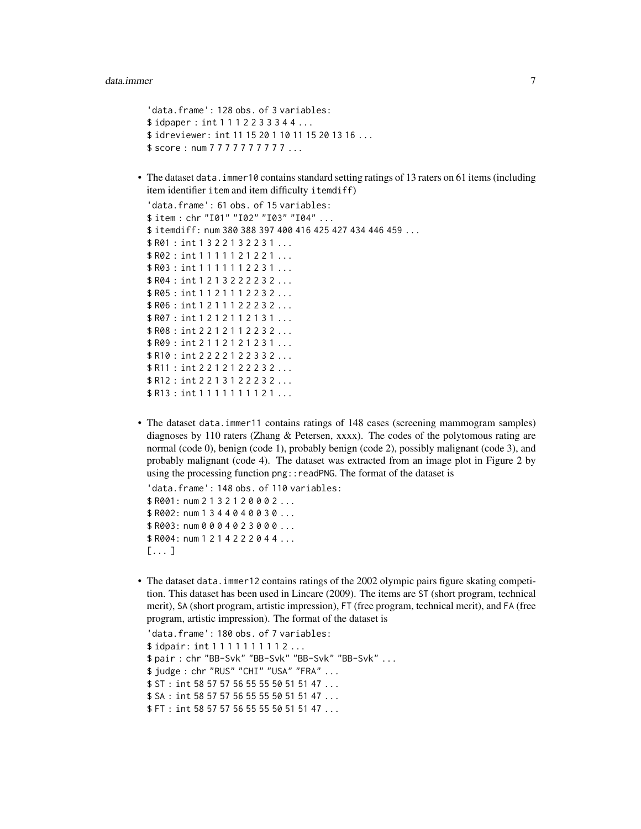```
'data.frame': 128 obs. of 3 variables:
$ idpaper : int 1 1 1 2 2 3 3 3 4 4 ...
$ idreviewer: int 11 15 20 1 10 11 15 20 13 16 ...
$ score: num 7 7 7 7 7 7 7 7 7 7 ...
```
• The dataset data. immer10 contains standard setting ratings of 13 raters on 61 items (including item identifier item and item difficulty itemdiff)

```
'data.frame': 61 obs. of 15 variables:
$ item : chr "I01" "I02" "I03" "I04" ...
$ itemdiff: num 380 388 397 400 416 425 427 434 446 459 ...
$ R01 : int 1 3 2 2 1 3 2 2 3 1 ...
$ R02 : int 1 1 1 1 1 2 1 2 2 1 ...
$ R03 : int 1 1 1 1 1 1 2 2 3 1 ...
$ R04 : int 1 2 1 3 2 2 2 2 3 2 ...
$ R05 : int 1 1 2 1 1 1 2 2 3 2 ...
$ R06 : int 1 2 1 1 1 2 2 2 3 2 ...
$ R07 : int 1 2 1 2 1 1 2 1 3 1 ...
$ R08 : int 2 2 1 2 1 1 2 2 3 2 ...
$ R09: int 2 1 1 2 1 2 1 2 3 1 ...
$ R10 : int 2 2 2 2 1 2 2 3 3 2 ...
$ R11 : int 2 2 1 2 1 2 2 2 3 2 ...
$ R12 : int 2 2 1 3 1 2 2 2 3 2 ...
$ R13 : int 1 1 1 1 1 1 1 1 2 1 ...
```
• The dataset data.immer11 contains ratings of 148 cases (screening mammogram samples) diagnoses by 110 raters (Zhang & Petersen, xxxx). The codes of the polytomous rating are normal (code 0), benign (code 1), probably benign (code 2), possibly malignant (code 3), and probably malignant (code 4). The dataset was extracted from an image plot in Figure 2 by using the processing function png::readPNG. The format of the dataset is

```
'data.frame': 148 obs. of 110 variables:
$ R001: num 2 1 3 2 1 2 0 0 0 2 ...
$ R002: num 1 3 4 4 0 4 0 0 3 0 ...
$ R003: num 0 0 0 4 0 2 3 0 0 0 ...
$ R004: num 1 2 1 4 2 2 2 0 4 4 ...
[... ]
```
• The dataset data.immer12 contains ratings of the 2002 olympic pairs figure skating competition. This dataset has been used in Lincare (2009). The items are ST (short program, technical merit), SA (short program, artistic impression), FT (free program, technical merit), and FA (free program, artistic impression). The format of the dataset is

```
'data.frame': 180 obs. of 7 variables:
$ idpair: int 1 1 1 1 1 1 1 1 1 2 ...
$ pair : chr "BB-Svk" "BB-Svk" "BB-Svk" "BB-Svk" ...
$ judge : chr "RUS" "CHI" "USA" "FRA" ...
$ ST : int 58 57 57 56 55 55 50 51 51 47 ...
$ SA : int 58 57 57 56 55 55 50 51 51 47 ...
$ FT : int 58 57 57 56 55 55 50 51 51 47 ...
```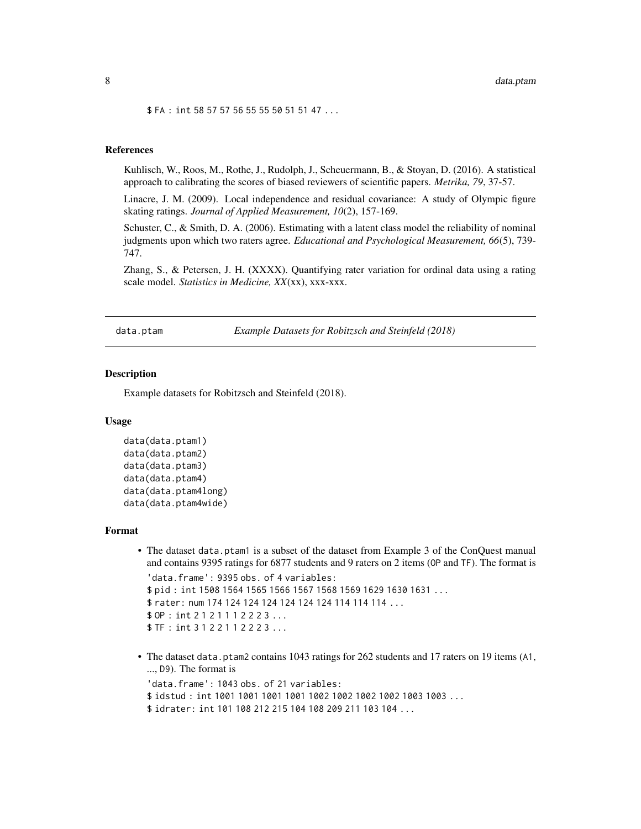#### <span id="page-7-0"></span>8 data.ptam

\$ FA: int 58 57 57 56 55 55 50 51 51 47 ...

## References

Kuhlisch, W., Roos, M., Rothe, J., Rudolph, J., Scheuermann, B., & Stoyan, D. (2016). A statistical approach to calibrating the scores of biased reviewers of scientific papers. *Metrika, 79*, 37-57.

Linacre, J. M. (2009). Local independence and residual covariance: A study of Olympic figure skating ratings. *Journal of Applied Measurement, 10*(2), 157-169.

Schuster, C., & Smith, D. A. (2006). Estimating with a latent class model the reliability of nominal judgments upon which two raters agree. *Educational and Psychological Measurement, 66*(5), 739- 747.

Zhang, S., & Petersen, J. H. (XXXX). Quantifying rater variation for ordinal data using a rating scale model. *Statistics in Medicine, XX*(xx), xxx-xxx.

data.ptam *Example Datasets for Robitzsch and Steinfeld (2018)*

#### Description

Example datasets for Robitzsch and Steinfeld (2018).

#### Usage

```
data(data.ptam1)
data(data.ptam2)
data(data.ptam3)
data(data.ptam4)
data(data.ptam4long)
data(data.ptam4wide)
```
## Format

• The dataset data.ptam1 is a subset of the dataset from Example 3 of the ConQuest manual and contains 9395 ratings for 6877 students and 9 raters on 2 items (OP and TF). The format is 'data.frame': 9395 obs. of 4 variables: \$ pid : int 1508 1564 1565 1566 1567 1568 1569 1629 1630 1631 ... \$ rater: num 174 124 124 124 124 124 124 114 114 114 ...

```
$ OP : int 2 1 2 1 1 1 2 2 2 3 ...
$ TF : int 3 1 2 2 1 1 2 2 2 3 ...
```
• The dataset data.ptam2 contains 1043 ratings for 262 students and 17 raters on 19 items (A1, ..., D9). The format is

```
'data.frame': 1043 obs. of 21 variables:
```
- \$ idstud : int 1001 1001 1001 1001 1002 1002 1002 1002 1003 1003 ...
- \$ idrater: int 101 108 212 215 104 108 209 211 103 104 ...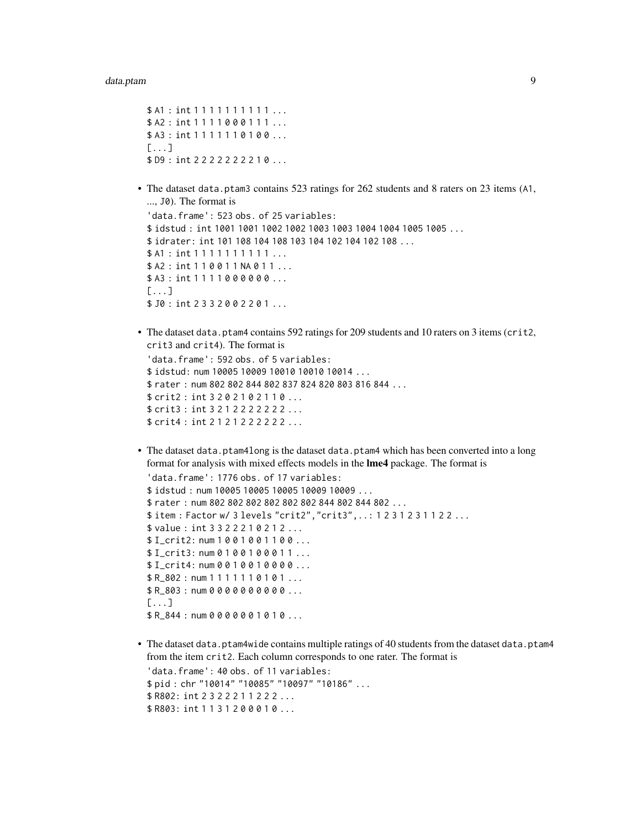```
$ A1 : int 1 1 1 1 1 1 1 1 1 1 ...
$ A2: int 1111000111...$ A3: int 1111110100...[0, 0.1]$ D9 : int 2 2 2 2 2 2 2 2 1 0 ...
```
\$ crit4 : int 2 1 2 1 2 2 2 2 2 2 ...

• The dataset data.ptam3 contains 523 ratings for 262 students and 8 raters on 23 items (A1, ..., J0). The format is 'data.frame': 523 obs. of 25 variables: \$ idstud : int 1001 1001 1002 1002 1003 1003 1004 1004 1005 1005 ... \$ idrater: int 101 108 104 108 103 104 102 104 102 108 ... \$ A1 : int 1 1 1 1 1 1 1 1 1 1 ... \$ A2 : int 1 1 0 0 1 1 NA 0 1 1 ... \$ A3 : int 1 1 1 1 0 0 0 0 0 0 ...  $[1, 1]$ 

```
$ J0 : int 2 3 3 2 0 0 2 2 0 1 ...
• The dataset data.ptam4 contains 592 ratings for 209 students and 10 raters on 3 items (crit2,
  crit3 and crit4). The format is
  'data.frame': 592 obs. of 5 variables:
  $ idstud: num 10005 10009 10010 10010 10014 ...
  $ rater : num 802 802 844 802 837 824 820 803 816 844 ...
  $ crit2 : int 3 2 0 2 1 0 2 1 1 0 ...
  $ crit3 : int 3 2 1 2 2 2 2 2 2 2 ...
```
• The dataset data.ptam4long is the dataset data.ptam4 which has been converted into a long format for analysis with mixed effects models in the lme4 package. The format is

```
'data.frame': 1776 obs. of 17 variables:
$ idstud : num 10005 10005 10005 10009 10009 ...
$ rater : num 802 802 802 802 802 802 844 802 844 802 ...
$ item : Factor w/ 3 levels "crit2","crit3",..: 1 2 3 1 2 3 1 1 2 2 ...
$ value : int 3 3 2 2 2 1 0 2 1 2 ...
$ I_crit2: num 1 0 0 1 0 0 1 1 0 0 ...
$ I_crit3: num 0 1 0 0 1 0 0 0 1 1 ...
$ I_crit4: num 0 0 1 0 0 1 0 0 0 0 ...
$ R802 : num 1 1 1 1 1 1 0 1 0 1...$ R_803 : num 0 0 0 0 0 0 0 0 0 0 ...
[...]
$ R_844 : num 0 0 0 0 0 0 1 0 1 0 ...
```
• The dataset data.ptam4wide contains multiple ratings of 40 students from the dataset data.ptam4 from the item crit2. Each column corresponds to one rater. The format is 'data.frame': 40 obs. of 11 variables: \$ pid : chr "10014" "10085" "10097" "10186" ... \$ R802: int 2 3 2 2 2 1 1 2 2 2 ... \$ R803: int 1 1 3 1 2 0 0 0 1 0 ...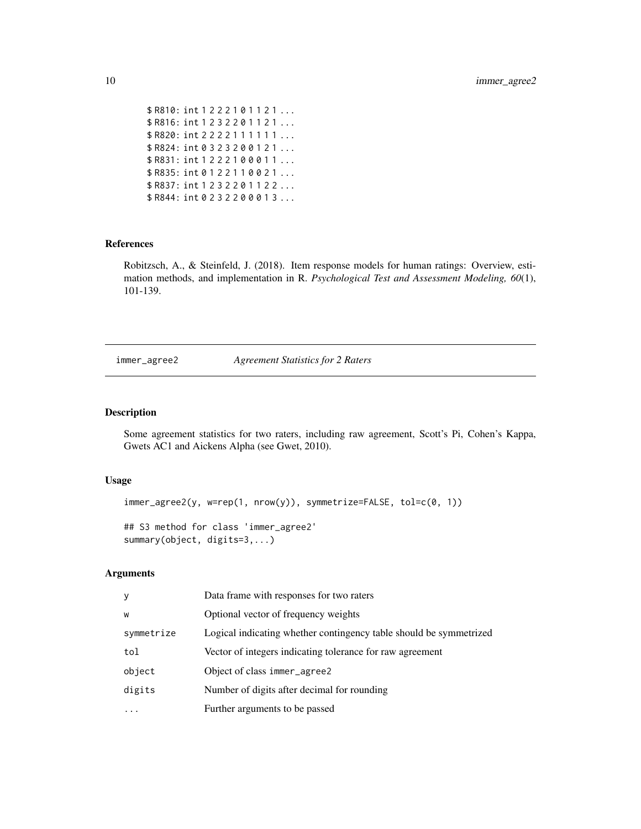```
$ R810: int 1 2 2 2 1 0 1 1 2 1 ...
$ R816: int 1 2 3 2 2 0 1 1 2 1 ...
$ R820: int 2 2 2 2 1 1 1 1 1 1 ...
$ R824: int 0 3 2 3 2 0 0 1 2 1 ...
$R831: int 1 2 2 2 1 0 0 0 1 1 ...
$ R835: int 0 1 2 2 1 1 0 0 2 1 ...
$ R837: int 1 2 3 2 2 0 1 1 2 2 ...
$ R844: int 0 2 3 2 2 0 0 0 1 3 ...
```
## References

Robitzsch, A., & Steinfeld, J. (2018). Item response models for human ratings: Overview, estimation methods, and implementation in R. *Psychological Test and Assessment Modeling, 60*(1), 101-139.

immer\_agree2 *Agreement Statistics for 2 Raters*

#### Description

Some agreement statistics for two raters, including raw agreement, Scott's Pi, Cohen's Kappa, Gwets AC1 and Aickens Alpha (see Gwet, 2010).

#### Usage

```
immer_agree2(y, w=rep(1, nrow(y)), symmetrize=FALSE, tol=c(0, 1))
```
## S3 method for class 'immer\_agree2' summary(object, digits=3,...)

#### Arguments

| y          | Data frame with responses for two raters                           |
|------------|--------------------------------------------------------------------|
| W          | Optional vector of frequency weights                               |
| symmetrize | Logical indicating whether contingency table should be symmetrized |
| tol        | Vector of integers indicating tolerance for raw agreement          |
| object     | Object of class immer_agree2                                       |
| digits     | Number of digits after decimal for rounding                        |
|            | Further arguments to be passed                                     |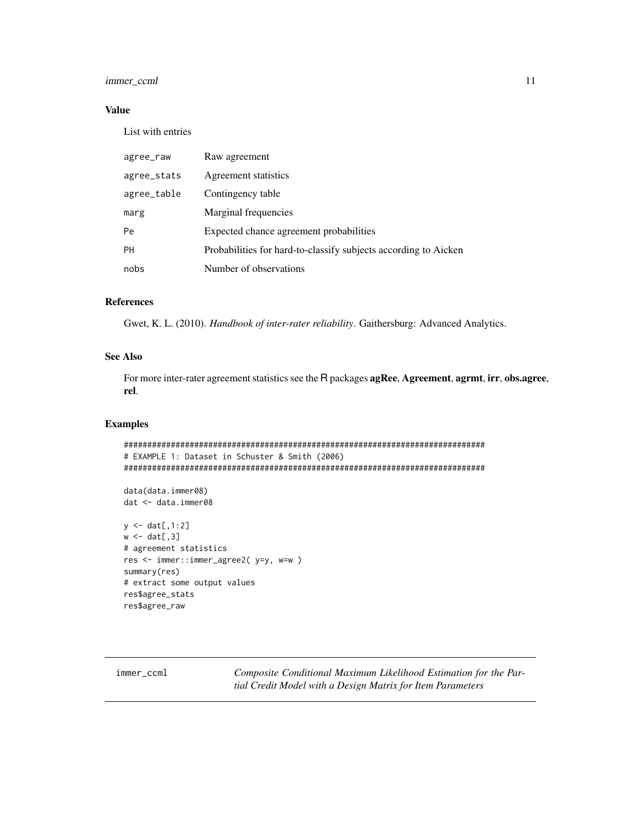## <span id="page-10-0"></span>**Value**

List with entries

| agree_raw   | Raw agreement                                                   |
|-------------|-----------------------------------------------------------------|
| agree_stats | Agreement statistics                                            |
| agree_table | Contingency table                                               |
| marg        | Marginal frequencies                                            |
| Pe          | Expected chance agreement probabilities                         |
| PH          | Probabilities for hard-to-classify subjects according to Aicken |
| nobs        | Number of observations                                          |

## **References**

Gwet, K. L. (2010). Handbook of inter-rater reliability. Gaithersburg: Advanced Analytics.

## **See Also**

For more inter-rater agreement statistics see the R packages **agRee**, Agreement, agrmt, irr, obs.agree, rel.

#### **Examples**

```
# EXAMPLE 1: Dataset in Schuster & Smith (2006)
data(data.immer08)
dat <- data.immer08
y \leq d \text{at} [0, 1:2]w \leftarrow dat[, 3]# agreement statistics
res <- immer::immer_agree2( y=y, w=w )
summary(res)
# extract some output values
res$agree_stats
res$agree_raw
```
<span id="page-10-1"></span>immer\_ccml

Composite Conditional Maximum Likelihood Estimation for the Partial Credit Model with a Design Matrix for Item Parameters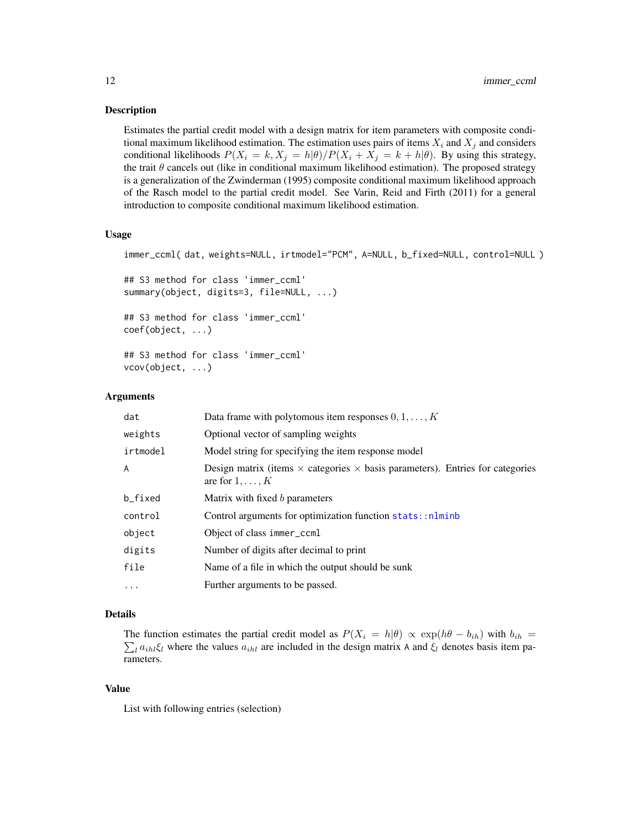#### Description

Estimates the partial credit model with a design matrix for item parameters with composite conditional maximum likelihood estimation. The estimation uses pairs of items  $X_i$  and  $X_j$  and considers conditional likelihoods  $P(X_i = k, X_j = h|\theta)/P(X_i + X_j = k + h|\theta)$ . By using this strategy, the trait  $\theta$  cancels out (like in conditional maximum likelihood estimation). The proposed strategy is a generalization of the Zwinderman (1995) composite conditional maximum likelihood approach of the Rasch model to the partial credit model. See Varin, Reid and Firth (2011) for a general introduction to composite conditional maximum likelihood estimation.

#### Usage

```
immer_ccml( dat, weights=NULL, irtmodel="PCM", A=NULL, b_fixed=NULL, control=NULL )
```

```
## S3 method for class 'immer_ccml'
summary(object, digits=3, file=NULL, ...)
## S3 method for class 'immer_ccml'
coef(object, ...)
## S3 method for class 'immer_ccml'
vcov(object, ...)
```
## Arguments

| dat      | Data frame with polytomous item responses $0, 1, \ldots, K$                                                           |
|----------|-----------------------------------------------------------------------------------------------------------------------|
| weights  | Optional vector of sampling weights                                                                                   |
| irtmodel | Model string for specifying the item response model                                                                   |
| A        | Design matrix (items $\times$ categories $\times$ basis parameters). Entries for categories<br>are for $1, \ldots, K$ |
| b_fixed  | Matrix with fixed b parameters                                                                                        |
| control  | Control arguments for optimization function stats:: nlminb                                                            |
| object   | Object of class immer_ccml                                                                                            |
| digits   | Number of digits after decimal to print                                                                               |
| file     | Name of a file in which the output should be sunk                                                                     |
| $\cdots$ | Further arguments to be passed.                                                                                       |

## Details

The function estimates the partial credit model as  $P(X_i = h | \theta) \propto \exp(h\theta - b_{ih})$  with  $b_{ih} =$  $\sum_{l} a_{ihl} \xi_l$  where the values  $a_{ihl}$  are included in the design matrix A and  $\xi_l$  denotes basis item parameters.

#### Value

List with following entries (selection)

<span id="page-11-0"></span>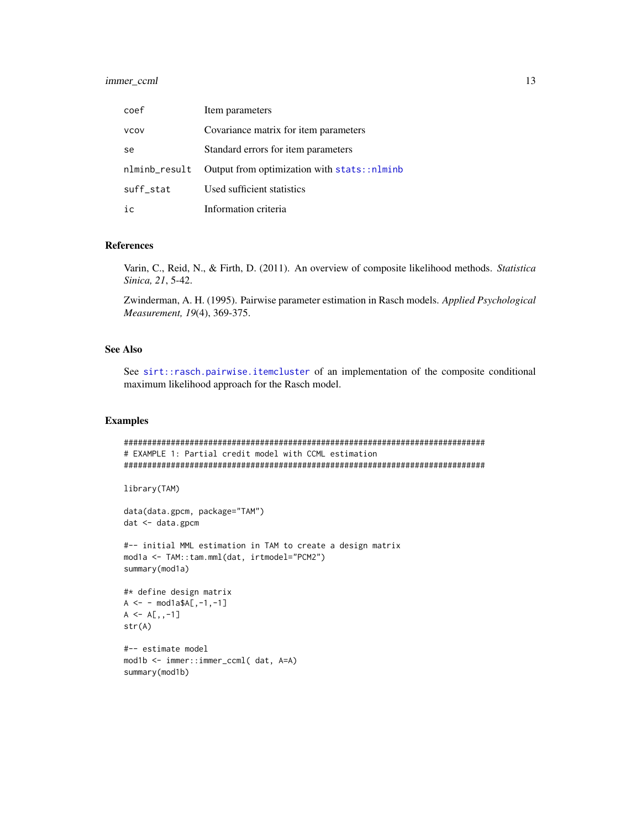<span id="page-12-0"></span>

| coef          | Item parameters                             |
|---------------|---------------------------------------------|
| <b>VCOV</b>   | Covariance matrix for item parameters       |
| se            | Standard errors for item parameters         |
| nlminb_result | Output from optimization with stats::nlminb |
| suff stat     | Used sufficient statistics                  |
| ic            | Information criteria                        |

## **References**

Varin, C., Reid, N., & Firth, D. (2011). An overview of composite likelihood methods. Statistica Sinica, 21, 5-42.

Zwinderman, A. H. (1995). Pairwise parameter estimation in Rasch models. Applied Psychological Measurement, 19(4), 369-375.

## **See Also**

See sirt::rasch.pairwise.itemcluster of an implementation of the composite conditional maximum likelihood approach for the Rasch model.

## **Examples**

```
# EXAMPLE 1: Partial credit model with CCML estimation
```
library(TAM)

data(data.gpcm, package="TAM") dat <- data.gpcm

```
#-- initial MML estimation in TAM to create a design matrix
mod1a <- TAM::tam.mml(dat, irtmodel="PCM2")
summary(mod1a)
```

```
#* define design matrix
A \le - \mod 1a$A[,-1,-1]
A \leq A[\ ,\ , -1]str(A)
```

```
#-- estimate model
mod1b <- immer::immer_ccml( dat, A=A)
summary(mod1b)
```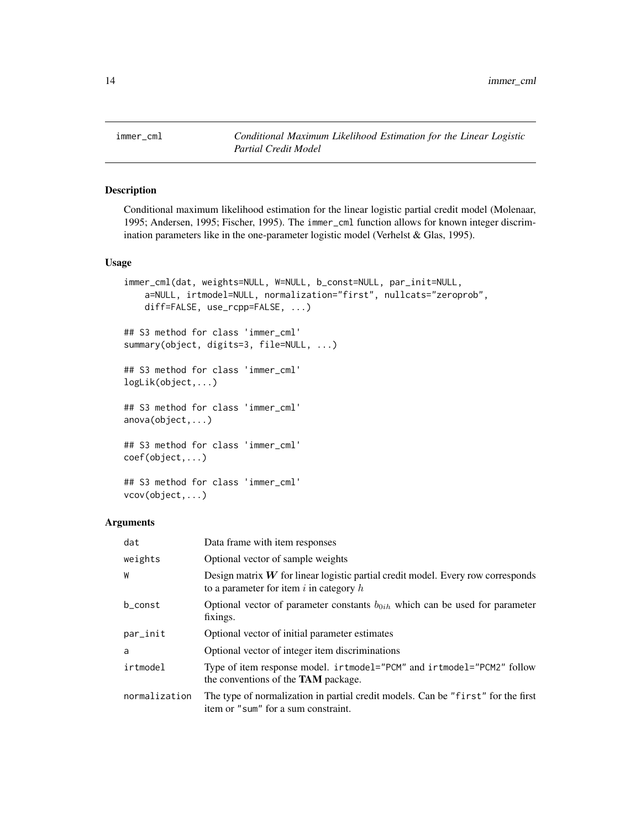<span id="page-13-1"></span><span id="page-13-0"></span>immer\_cml *Conditional Maximum Likelihood Estimation for the Linear Logistic Partial Credit Model*

## Description

Conditional maximum likelihood estimation for the linear logistic partial credit model (Molenaar, 1995; Andersen, 1995; Fischer, 1995). The immer\_cml function allows for known integer discrimination parameters like in the one-parameter logistic model (Verhelst & Glas, 1995).

## Usage

```
immer_cml(dat, weights=NULL, W=NULL, b_const=NULL, par_init=NULL,
    a=NULL, irtmodel=NULL, normalization="first", nullcats="zeroprob",
    diff=FALSE, use_rcpp=FALSE, ...)
## S3 method for class 'immer_cml'
summary(object, digits=3, file=NULL, ...)
## S3 method for class 'immer_cml'
logLik(object,...)
## S3 method for class 'immer_cml'
anova(object,...)
## S3 method for class 'immer_cml'
coef(object,...)
## S3 method for class 'immer_cml'
vcov(object,...)
```
#### Arguments

| dat           | Data frame with item responses                                                                                                   |
|---------------|----------------------------------------------------------------------------------------------------------------------------------|
| weights       | Optional vector of sample weights                                                                                                |
| W             | Design matrix $W$ for linear logistic partial credit model. Every row corresponds<br>to a parameter for item $i$ in category $h$ |
| b_const       | Optional vector of parameter constants $b_{0ih}$ which can be used for parameter<br>fixings.                                     |
| par_init      | Optional vector of initial parameter estimates                                                                                   |
| a             | Optional vector of integer item discriminations                                                                                  |
| irtmodel      | Type of item response model. irtmodel="PCM" and irtmodel="PCM2" follow<br>the conventions of the <b>TAM</b> package.             |
| normalization | The type of normalization in partial credit models. Can be "first" for the first<br>item or "sum" for a sum constraint.          |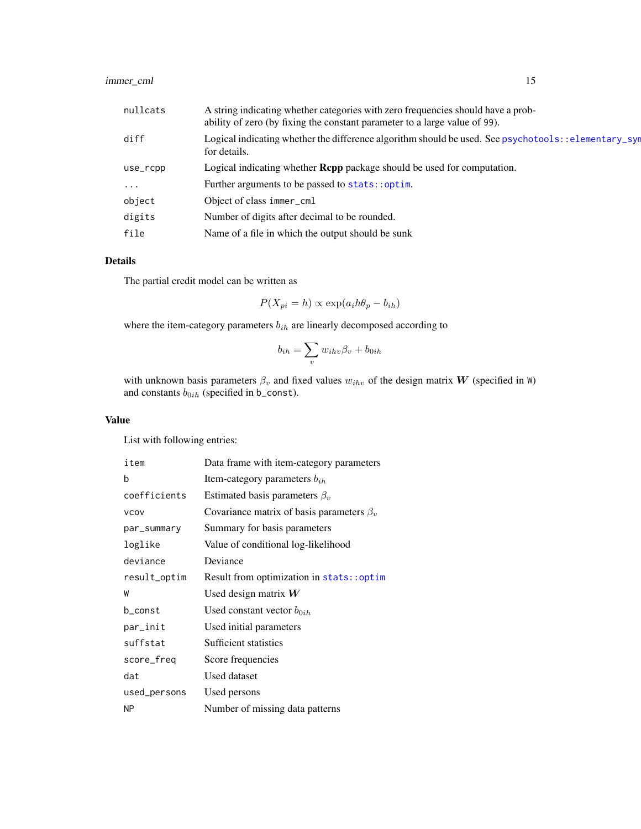<span id="page-14-0"></span>

| nullcats   | A string indicating whether categories with zero frequencies should have a prob-<br>ability of zero (by fixing the constant parameter to a large value of 99). |
|------------|----------------------------------------------------------------------------------------------------------------------------------------------------------------|
| diff       | Logical indicating whether the difference algorithm should be used. See psychotools::elementary_syn<br>for details.                                            |
| use_rcpp   | Logical indicating whether <b>Repp</b> package should be used for computation.                                                                                 |
| $\ddots$ . | Further arguments to be passed to stats::optim.                                                                                                                |
| object     | Object of class immer_cml                                                                                                                                      |
| digits     | Number of digits after decimal to be rounded.                                                                                                                  |
| file       | Name of a file in which the output should be sunk                                                                                                              |
|            |                                                                                                                                                                |

## Details

The partial credit model can be written as

$$
P(X_{pi} = h) \propto \exp(a_i h \theta_p - b_{ih})
$$

where the item-category parameters  $b_{ih}$  are linearly decomposed according to

$$
b_{ih} = \sum_{v} w_{ihv} \beta_v + b_{0ih}
$$

with unknown basis parameters  $\beta_v$  and fixed values  $w_{ihv}$  of the design matrix W (specified in W) and constants  $b_{0ih}$  (specified in b\_const).

## Value

List with following entries:

| item         | Data frame with item-category parameters        |
|--------------|-------------------------------------------------|
| b            | Item-category parameters $b_{ih}$               |
| coefficients | Estimated basis parameters $\beta_v$            |
| <b>VCOV</b>  | Covariance matrix of basis parameters $\beta_v$ |
| par_summary  | Summary for basis parameters                    |
| loglike      | Value of conditional log-likelihood             |
| deviance     | Deviance                                        |
| result_optim | Result from optimization in stats::optim        |
| W            | Used design matrix $W$                          |
| b const      | Used constant vector $b_{0ih}$                  |
| par_init     | Used initial parameters                         |
|              |                                                 |
| suffstat     | Sufficient statistics                           |
| score_freq   | Score frequencies                               |
| dat          | Used dataset                                    |
| used_persons | Used persons                                    |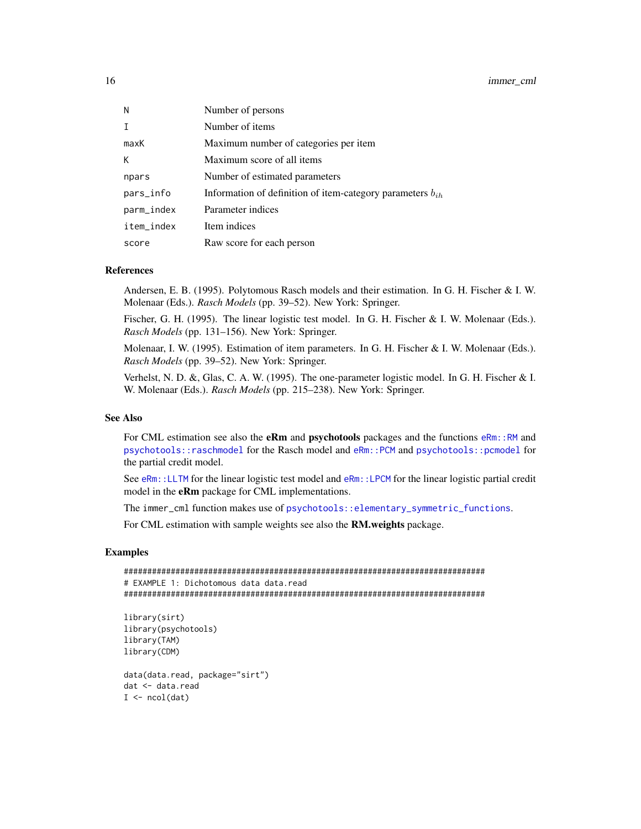<span id="page-15-0"></span>

| N          | Number of persons                                              |
|------------|----------------------------------------------------------------|
|            | Number of items                                                |
| maxK       | Maximum number of categories per item                          |
| К          | Maximum score of all items                                     |
| npars      | Number of estimated parameters                                 |
| pars_info  | Information of definition of item-category parameters $b_{ih}$ |
| parm_index | Parameter indices                                              |
| item_index | Item indices                                                   |
| score      | Raw score for each person                                      |

## References

Andersen, E. B. (1995). Polytomous Rasch models and their estimation. In G. H. Fischer & I. W. Molenaar (Eds.). *Rasch Models* (pp. 39–52). New York: Springer.

Fischer, G. H. (1995). The linear logistic test model. In G. H. Fischer & I. W. Molenaar (Eds.). *Rasch Models* (pp. 131–156). New York: Springer.

Molenaar, I. W. (1995). Estimation of item parameters. In G. H. Fischer & I. W. Molenaar (Eds.). *Rasch Models* (pp. 39–52). New York: Springer.

Verhelst, N. D. &, Glas, C. A. W. (1995). The one-parameter logistic model. In G. H. Fischer & I. W. Molenaar (Eds.). *Rasch Models* (pp. 215–238). New York: Springer.

### See Also

For CML estimation see also the **eRm** and **psychotools** packages and the functions  $eRm$ : : $RM$  and [psychotools::raschmodel](#page-0-0) for the Rasch model and [eRm::PCM](#page-0-0) and [psychotools::pcmodel](#page-0-0) for the partial credit model.

See [eRm::LLTM](#page-0-0) for the linear logistic test model and [eRm::LPCM](#page-0-0) for the linear logistic partial credit model in the eRm package for CML implementations.

The immer\_cml function makes use of [psychotools::elementary\\_symmetric\\_functions](#page-0-0).

For CML estimation with sample weights see also the RM.weights package.

```
#############################################################################
# EXAMPLE 1: Dichotomous data data.read
#############################################################################
library(sirt)
library(psychotools)
library(TAM)
library(CDM)
data(data.read, package="sirt")
dat <- data.read
I \leftarrow \text{ncol}(\text{dat})
```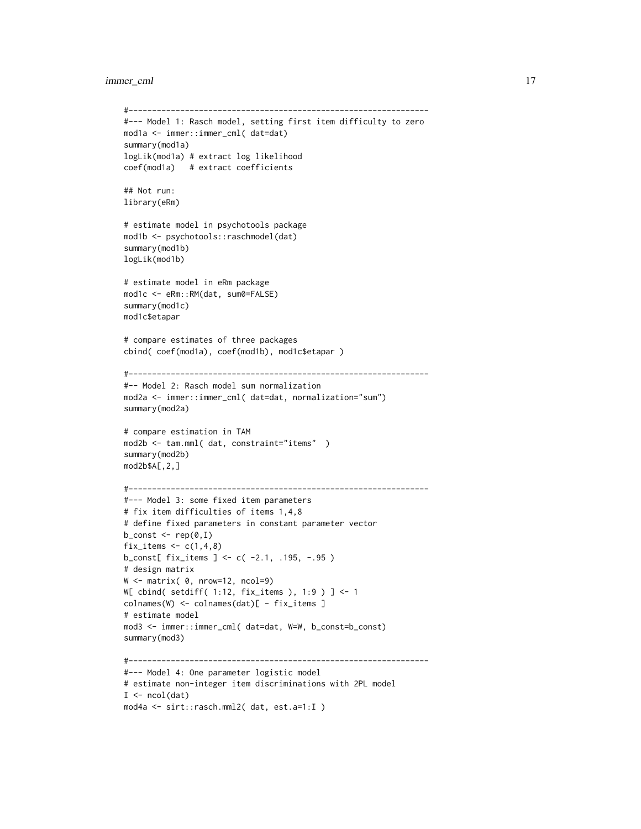```
#----------------------------------------------------------------
#--- Model 1: Rasch model, setting first item difficulty to zero
mod1a <- immer::immer_cml( dat=dat)
summary(mod1a)
logLik(mod1a) # extract log likelihood
coef(mod1a) # extract coefficients
## Not run:
library(eRm)
# estimate model in psychotools package
mod1b <- psychotools::raschmodel(dat)
summary(mod1b)
logLik(mod1b)
# estimate model in eRm package
mod1c <- eRm::RM(dat, sum0=FALSE)
summary(mod1c)
mod1c$etapar
# compare estimates of three packages
cbind( coef(mod1a), coef(mod1b), mod1c$etapar )
#----------------------------------------------------------------
#-- Model 2: Rasch model sum normalization
mod2a <- immer::immer_cml( dat=dat, normalization="sum")
summary(mod2a)
# compare estimation in TAM
mod2b <- tam.mml( dat, constraint="items" )
summary(mod2b)
mod2b$A[,2,]
#----------------------------------------------------------------
#--- Model 3: some fixed item parameters
# fix item difficulties of items 1,4,8
# define fixed parameters in constant parameter vector
b_{\text{const}} \leftarrow rep(0, I)fix_items \leq c(1,4,8)b_{\text{const}} fix_items ] <- c( -2.1, .195, -.95 )
# design matrix
W <- matrix( 0, nrow=12, ncol=9)
W[ cbind( setdiff( 1:12, fix_items ), 1:9 ) ] <- 1
colnames(W) <- colnames(dat)[ - fix_items ]
# estimate model
mod3 <- immer::immer_cml( dat=dat, W=W, b_const=b_const)
summary(mod3)
#----------------------------------------------------------------
#--- Model 4: One parameter logistic model
# estimate non-integer item discriminations with 2PL model
I \leftarrow \text{ncol}(\text{dat})mod4a <- sirt::rasch.mml2( dat, est.a=1:I )
```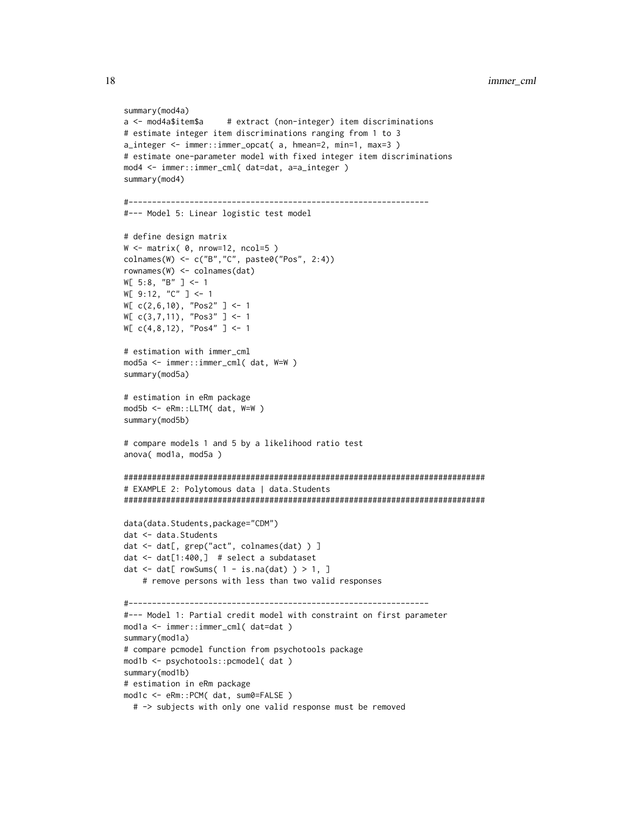```
summary(mod4a)
a <- mod4a$item$a # extract (non-integer) item discriminations
# estimate integer item discriminations ranging from 1 to 3
a_integer <- immer::immer_opcat( a, hmean=2, min=1, max=3 )
# estimate one-parameter model with fixed integer item discriminations
mod4 <- immer::immer_cml( dat=dat, a=a_integer )
summary(mod4)
#----------------------------------------------------------------
#--- Model 5: Linear logistic test model
# define design matrix
W \leq - matrix( \theta, nrow=12, ncol=5 )
colnames(W) <- c("B","C", paste0("Pos", 2:4))
rownames(W) <- colnames(dat)
W[ 5:8, "B" ] <- 1
W[ 9:12, "C" ] <- 1
W[ c(2,6,10), "Pos2" ] <- 1
W[ c(3,7,11), "Pos3" ] <- 1
W[ c(4,8,12), 'Pos4' ] < -1# estimation with immer_cml
mod5a <- immer::immer_cml( dat, W=W )
summary(mod5a)
# estimation in eRm package
mod5b <- eRm::LLTM( dat, W=W )
summary(mod5b)
# compare models 1 and 5 by a likelihood ratio test
anova( mod1a, mod5a )
#############################################################################
# EXAMPLE 2: Polytomous data | data.Students
#############################################################################
data(data.Students,package="CDM")
dat <- data.Students
dat <- dat[, grep("act", colnames(dat) ) ]
dat <- dat[1:400,] # select a subdataset
dat \le dat[ rowSums( 1 - is.na(dat) ) > 1, ]
    # remove persons with less than two valid responses
#----------------------------------------------------------------
#--- Model 1: Partial credit model with constraint on first parameter
mod1a <- immer::immer_cml( dat=dat )
summary(mod1a)
# compare pcmodel function from psychotools package
mod1b <- psychotools::pcmodel( dat )
summary(mod1b)
# estimation in eRm package
mod1c <- eRm::PCM( dat, sum0=FALSE )
  # -> subjects with only one valid response must be removed
```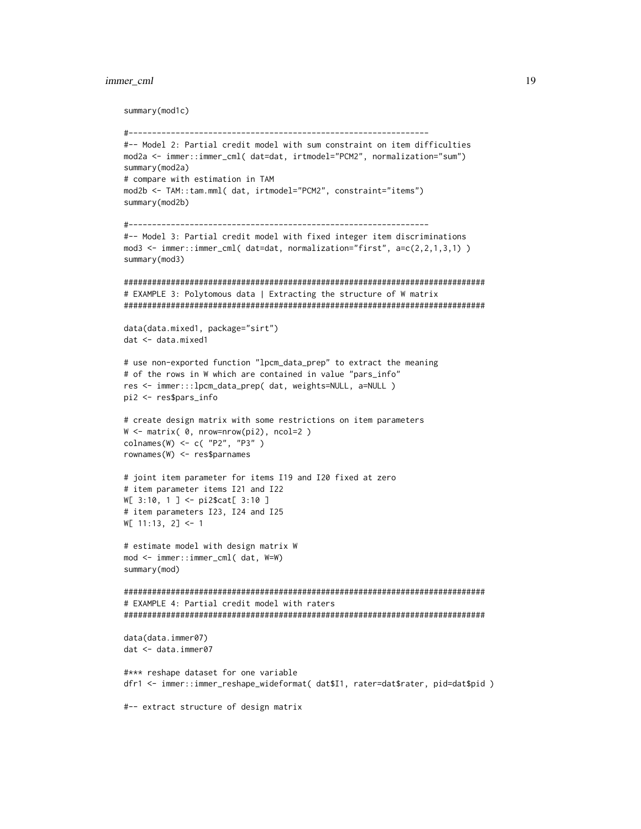summary(mod1c)

```
#-- Model 2: Partial credit model with sum constraint on item difficulties
mod2a <- immer::immer_cml( dat=dat, irtmodel="PCM2", normalization="sum")
summary(mod2a)
# compare with estimation in TAM
mod2b <- TAM::tam.mml( dat, irtmodel="PCM2", constraint="items")
summary(mod2b)
#-- Model 3: Partial credit model with fixed integer item discriminations
mod3 <- immer::immer_cml( dat=dat, normalization="first", a=c(2,2,1,3,1) )
summary(mod3)
# EXAMPLE 3: Polytomous data | Extracting the structure of W matrix
data(data.mixed1, package="sirt")
dat <- data.mixed1
# use non-exported function "lpcm_data_prep" to extract the meaning
# of the rows in W which are contained in value "pars_info"
res <- immer:::lpcm_data_prep( dat, weights=NULL, a=NULL )
pi2 <- res$pars_info
# create design matrix with some restrictions on item parameters
W <- matrix( 0, nrow=nrow(pi2), ncol=2 )
colnames(W) <- c( "P2", "P3" )
rownames(W) \leftarrow res$parameters# joint item parameter for items I19 and I20 fixed at zero
# item parameter items I21 and I22
W[ 3:10, 1 ] <- pi2$cat[ 3:10 ]
# item parameters I23, I24 and I25
W[11:13, 2] <- 1
# estimate model with design matrix W
mod <- immer::immer_cml( dat, W=W)
summary(mod)
# EXAMPLE 4: Partial credit model with raters
data(data.immer07)
dat <- data.immer07
#*** reshape dataset for one variable
dfr1 <- immer::immer_reshape_wideformat( dat$I1, rater=dat$rater, pid=dat$pid)
```
#-- extract structure of design matrix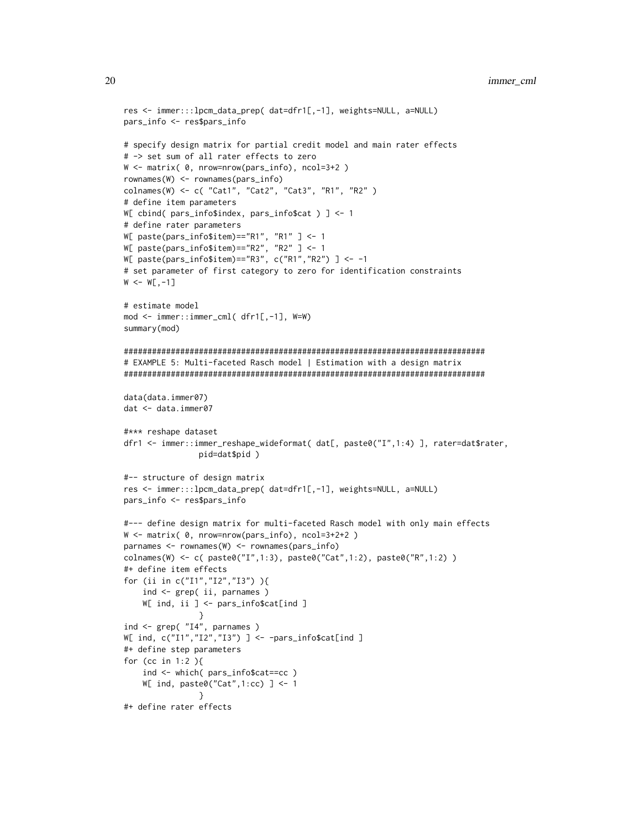```
res <- immer:::lpcm_data_prep( dat=dfr1[,-1], weights=NULL, a=NULL)
pars_info <- res$pars_info
# specify design matrix for partial credit model and main rater effects
# -> set sum of all rater effects to zero
W \leq - matrix( \theta, nrow=nrow(pars_info), ncol=3+2 )
rownames(W) <- rownames(pars_info)
colnames(W) <- c( "Cat1", "Cat2", "Cat3", "R1", "R2")
# define item parameters
W[ cbind( pars_info$index, pars_info$cat ) ] <- 1
# define rater parameters
W[ paste(pars_info$item) == "R1", "R1" ] <- 1
W[ paste(pars_info$item) == "R2", "R2" ] <- 1
W[ paste(pars_info$item) == "R3", c("R1", "R2") ] <- -1
# set parameter of first category to zero for identification constraints
W < - W[,-1]# estimate model
mod \le -immer::immer\_cm1(dr1[, -1], W=W)summary(mod)
# EXAMPLE 5: Multi-faceted Rasch model | Estimation with a design matrix
data(data.immer07)
dat <- data.immer07
#*** reshape dataset
dfr1 <- immer::immer_reshape_wideformat( dat[, paste0("I",1:4) ], rater=dat$rater,
              pid=dat$pid)
#-- structure of design matrix
res <- immer:::lpcm_data_prep( dat=dfr1[,-1], weights=NULL, a=NULL)
pars_info <- res$pars_info
#--- define design matrix for multi-faceted Rasch model with only main effects
W <- matrix( 0, nrow=nrow(pars_info), ncol=3+2+2)
parnames <- rownames(W) <- rownames(pars_info)
colnames(W) <- c( paste0("I",1:3), paste0("Cat",1:2), paste0("R",1:2) )
#+ define item effects
for (ii in c("I1", "I2", "I3") ){
   ind <- grep( ii, parnames )
   W[ ind, ii ] <- pars_info$cat[ind ]
ind \leq grep('I4", parameters)W[ ind, c("I1","I2","I3") ] <- -pars_info$cat[ind ]
#+ define step parameters
for (cc in 1:2){
   ind <- which( pars_info$cat==cc )
   W[ ind, paste0("Cat", 1:cc) ] <- 1
#+ define rater effects
```
20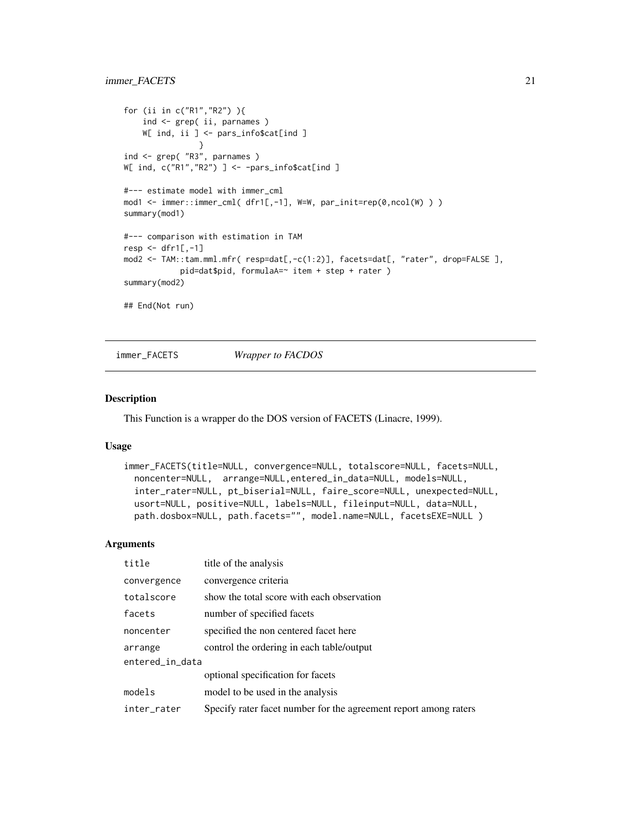## <span id="page-20-0"></span>immer\_FACETS 21

```
for (ii in c("R1","R2") ){
    ind <- grep( ii, parnames )
   W[ ind, ii ] <- pars_info$cat[ind ]
                }
ind <- grep( "R3", parnames )
W[ ind, c("R1","R2") ] <- -pars_info$cat[ind ]
#--- estimate model with immer_cml
mod1 <- immer::immer_cml( dfr1[,-1], W=W, par_init=rep(0,ncol(W) ) )
summary(mod1)
#--- comparison with estimation in TAM
resp \le dfr1[,-1]
mod2 <- TAM::tam.mml.mfr( resp=dat[,-c(1:2)], facets=dat[, "rater", drop=FALSE ],
            pid=dat$pid, formulaA=~ item + step + rater )
summary(mod2)
## End(Not run)
```
<span id="page-20-1"></span>immer\_FACETS *Wrapper to FACDOS*

## Description

This Function is a wrapper do the DOS version of FACETS (Linacre, 1999).

#### Usage

```
immer_FACETS(title=NULL, convergence=NULL, totalscore=NULL, facets=NULL,
 noncenter=NULL, arrange=NULL,entered_in_data=NULL, models=NULL,
  inter_rater=NULL, pt_biserial=NULL, faire_score=NULL, unexpected=NULL,
 usort=NULL, positive=NULL, labels=NULL, fileinput=NULL, data=NULL,
 path.dosbox=NULL, path.facets="", model.name=NULL, facetsEXE=NULL )
```
#### Arguments

| title           | title of the analysis                                            |
|-----------------|------------------------------------------------------------------|
| convergence     | convergence criteria                                             |
| totalscore      | show the total score with each observation                       |
| facets          | number of specified facets                                       |
| noncenter       | specified the non centered facet here                            |
| arrange         | control the ordering in each table/output                        |
| entered_in_data |                                                                  |
|                 | optional specification for facets                                |
| models          | model to be used in the analysis                                 |
| inter_rater     | Specify rater facet number for the agreement report among raters |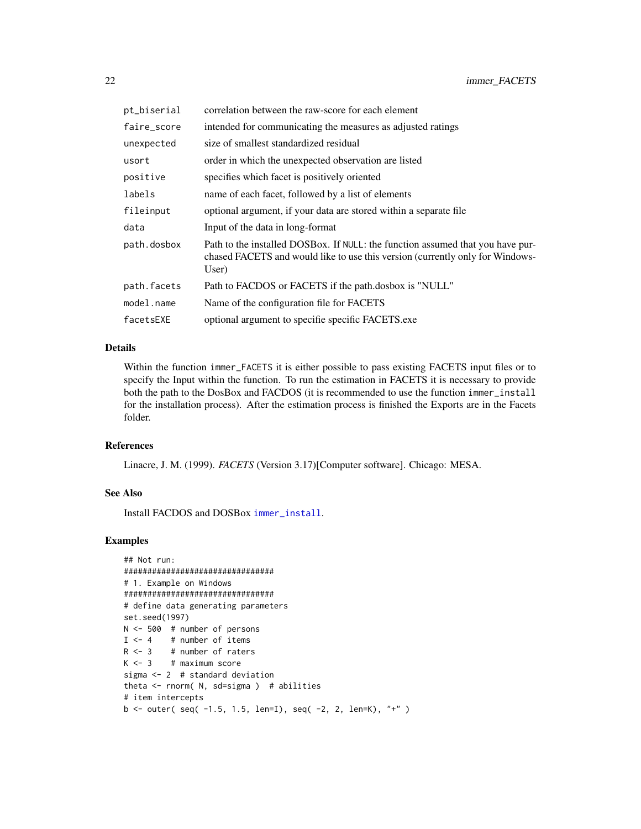<span id="page-21-0"></span>

| pt_biserial | correlation between the raw-score for each element                                                                                                                       |
|-------------|--------------------------------------------------------------------------------------------------------------------------------------------------------------------------|
| faire_score | intended for communicating the measures as adjusted ratings                                                                                                              |
| unexpected  | size of smallest standardized residual                                                                                                                                   |
| usort       | order in which the unexpected observation are listed                                                                                                                     |
| positive    | specifies which facet is positively oriented                                                                                                                             |
| labels      | name of each facet, followed by a list of elements                                                                                                                       |
| fileinput   | optional argument, if your data are stored within a separate file                                                                                                        |
| data        | Input of the data in long-format                                                                                                                                         |
| path.dosbox | Path to the installed DOSBox. If NULL: the function assumed that you have pur-<br>chased FACETS and would like to use this version (currently only for Windows-<br>User) |
| path.facets | Path to FACDOS or FACETS if the path.dosbox is "NULL"                                                                                                                    |
| model.name  | Name of the configuration file for FACETS                                                                                                                                |
| facetsEXE   | optional argument to specific specific FACETS.exe                                                                                                                        |

#### Details

Within the function immer\_FACETS it is either possible to pass existing FACETS input files or to specify the Input within the function. To run the estimation in FACETS it is necessary to provide both the path to the DosBox and FACDOS (it is recommended to use the function immer\_install for the installation process). After the estimation process is finished the Exports are in the Facets folder.

## References

Linacre, J. M. (1999). *FACETS* (Version 3.17)[Computer software]. Chicago: MESA.

## See Also

Install FACDOS and DOSBox [immer\\_install](#page-29-1).

```
## Not run:
################################
# 1. Example on Windows
################################
# define data generating parameters
set.seed(1997)
N <- 500 # number of persons
I \leq -4 # number of items
R <- 3 # number of raters
K < -3 # maximum score
sigma <- 2 # standard deviation
theta <- rnorm( N, sd=sigma ) # abilities
# item intercepts
b <- outer( seq( -1.5, 1.5, len=I), seq( -2, 2, len=K), "+" )
```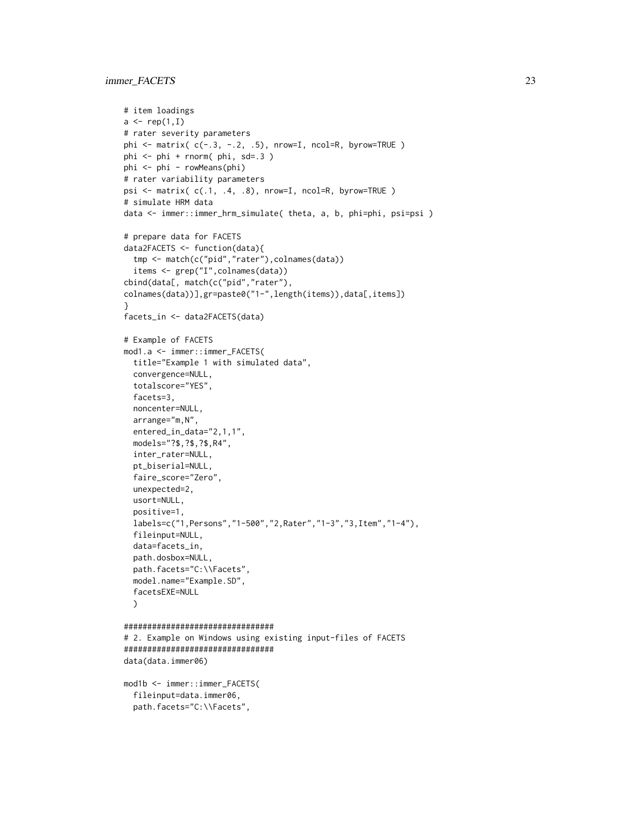```
# item loadings
a \leftarrow rep(1, I)# rater severity parameters
phi \le matrix(c(-.3, -.2, .5), nrow=I, ncol=R, byrow=TRUE)
phi <- phi + rnorm( phi, sd=.3 )
phi <- phi - rowMeans(phi)
# rater variability parameters
psi <- matrix( c(.1, .4, .8), nrow=I, ncol=R, byrow=TRUE )
# simulate HRM data
data <- immer::immer_hrm_simulate( theta, a, b, phi=phi, psi=psi )
# prepare data for FACETS
data2FACETS <- function(data){
  tmp <- match(c("pid","rater"),colnames(data))
  items <- grep("I",colnames(data))
cbind(data[, match(c("pid","rater"),
colnames(data))],gr=paste0("1-",length(items)),data[,items])
}
facets_in <- data2FACETS(data)
# Example of FACETS
mod1.a <- immer::immer_FACETS(
  title="Example 1 with simulated data",
  convergence=NULL,
  totalscore="YES",
  facets=3,
  noncenter=NULL,
  arrange="m,N",
  entered_in_data="2,1,1",
  models="?$,?$,?$,R4",
  inter_rater=NULL,
  pt_biserial=NULL,
  faire_score="Zero",
  unexpected=2,
  usort=NULL,
  positive=1,
  labels=c("1,Persons","1-500","2,Rater","1-3","3,Item","1-4"),
  fileinput=NULL,
  data=facets_in,
  path.dosbox=NULL,
  path.facets="C:\\Facets",
  model.name="Example.SD",
  facetsEXE=NULL
  )
################################
# 2. Example on Windows using existing input-files of FACETS
################################
data(data.immer06)
mod1b <- immer::immer_FACETS(
```

```
fileinput=data.immer06,
path.facets="C:\\Facets",
```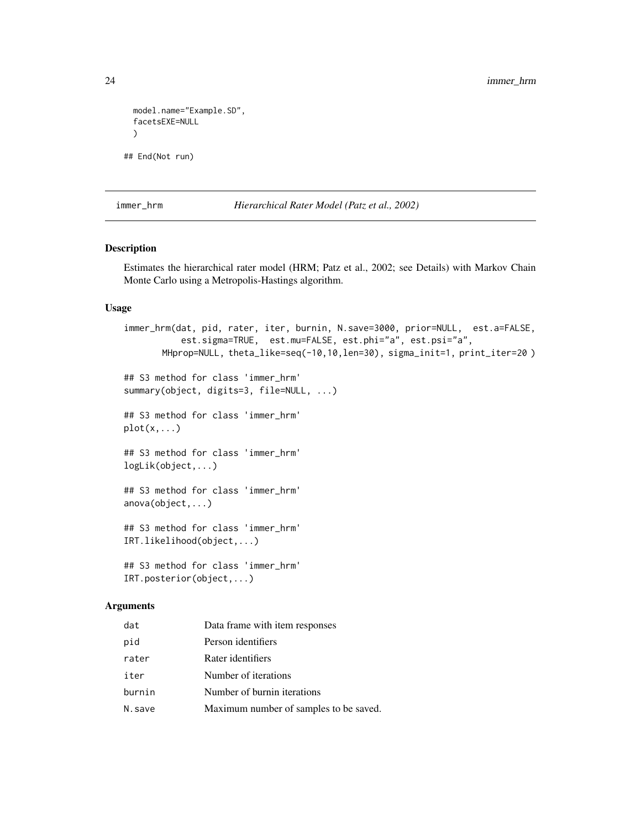```
model.name="Example.SD",
 facetsEXE=NULL
 )
## End(Not run)
```
<span id="page-23-1"></span>immer\_hrm *Hierarchical Rater Model (Patz et al., 2002)*

## Description

Estimates the hierarchical rater model (HRM; Patz et al., 2002; see Details) with Markov Chain Monte Carlo using a Metropolis-Hastings algorithm.

## Usage

```
immer_hrm(dat, pid, rater, iter, burnin, N.save=3000, prior=NULL, est.a=FALSE,
           est.sigma=TRUE, est.mu=FALSE, est.phi="a", est.psi="a",
       MHprop=NULL, theta_like=seq(-10,10,len=30), sigma_init=1, print_iter=20 )
## S3 method for class 'immer_hrm'
summary(object, digits=3, file=NULL, ...)
## S3 method for class 'immer_hrm'
plot(x, \ldots)## S3 method for class 'immer_hrm'
logLik(object,...)
## S3 method for class 'immer_hrm'
anova(object,...)
## S3 method for class 'immer_hrm'
IRT.likelihood(object,...)
## S3 method for class 'immer_hrm'
IRT.posterior(object,...)
```
## Arguments

| dat    | Data frame with item responses         |
|--------|----------------------------------------|
| pid    | Person identifiers                     |
| rater  | Rater identifiers                      |
| iter   | Number of iterations                   |
| burnin | Number of burnin iterations            |
| N.save | Maximum number of samples to be saved. |

<span id="page-23-0"></span>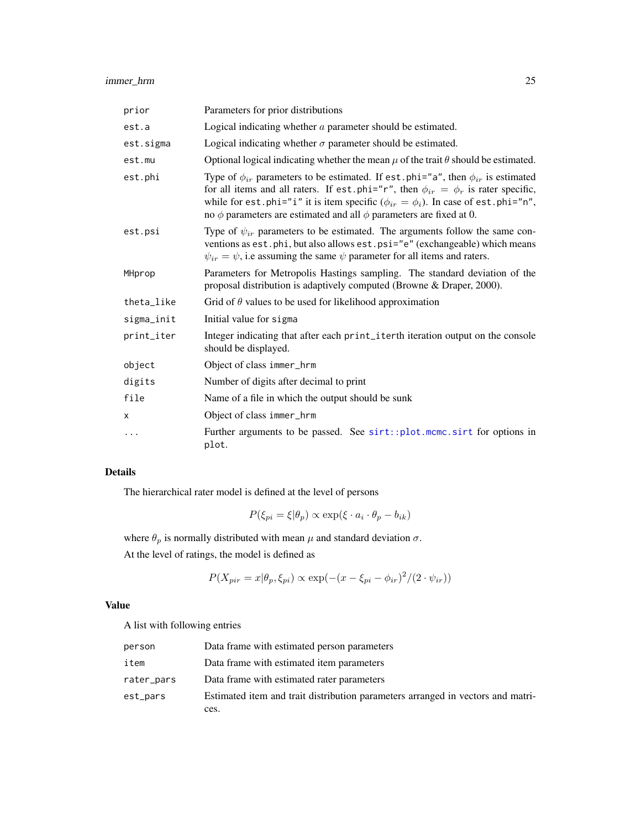## <span id="page-24-0"></span>immer\_hrm 25

| prior      | Parameters for prior distributions                                                                                                                                                                                                                                                                                                                                         |
|------------|----------------------------------------------------------------------------------------------------------------------------------------------------------------------------------------------------------------------------------------------------------------------------------------------------------------------------------------------------------------------------|
| est.a      | Logical indicating whether $a$ parameter should be estimated.                                                                                                                                                                                                                                                                                                              |
| est.sigma  | Logical indicating whether $\sigma$ parameter should be estimated.                                                                                                                                                                                                                                                                                                         |
| est.mu     | Optional logical indicating whether the mean $\mu$ of the trait $\theta$ should be estimated.                                                                                                                                                                                                                                                                              |
| est.phi    | Type of $\phi_{ir}$ parameters to be estimated. If est.phi="a", then $\phi_{ir}$ is estimated<br>for all items and all raters. If est.phi="r", then $\phi_{ir} = \phi_r$ is rater specific,<br>while for est.phi="i" it is item specific ( $\phi_{ir} = \phi_i$ ). In case of est.phi="n",<br>no $\phi$ parameters are estimated and all $\phi$ parameters are fixed at 0. |
| est.psi    | Type of $\psi_{ir}$ parameters to be estimated. The arguments follow the same con-<br>ventions as est.phi, but also allows est.psi="e" (exchangeable) which means<br>$\psi_{ir} = \psi$ , i.e assuming the same $\psi$ parameter for all items and raters.                                                                                                                 |
| MHprop     | Parameters for Metropolis Hastings sampling. The standard deviation of the<br>proposal distribution is adaptively computed (Browne & Draper, 2000).                                                                                                                                                                                                                        |
| theta_like | Grid of $\theta$ values to be used for likelihood approximation                                                                                                                                                                                                                                                                                                            |
| sigma_init | Initial value for sigma                                                                                                                                                                                                                                                                                                                                                    |
| print_iter | Integer indicating that after each print_iterth iteration output on the console<br>should be displayed.                                                                                                                                                                                                                                                                    |
| object     | Object of class immer_hrm                                                                                                                                                                                                                                                                                                                                                  |
| digits     | Number of digits after decimal to print                                                                                                                                                                                                                                                                                                                                    |
| file       | Name of a file in which the output should be sunk                                                                                                                                                                                                                                                                                                                          |
| x          | Object of class immer_hrm                                                                                                                                                                                                                                                                                                                                                  |
| $\cdots$   | Further arguments to be passed. See sirt::plot.mcmc.sirt for options in<br>plot.                                                                                                                                                                                                                                                                                           |

## Details

The hierarchical rater model is defined at the level of persons

$$
P(\xi_{pi} = \xi | \theta_p) \propto \exp(\xi \cdot a_i \cdot \theta_p - b_{ik})
$$

where  $\theta_p$  is normally distributed with mean  $\mu$  and standard deviation  $\sigma$ .

At the level of ratings, the model is defined as

$$
P(X_{pir} = x | \theta_p, \xi_{pi}) \propto \exp(-(x - \xi_{pi} - \phi_{ir})^2 / (2 \cdot \psi_{ir}))
$$

## Value

A list with following entries

| person     | Data frame with estimated person parameters                                     |
|------------|---------------------------------------------------------------------------------|
| item       | Data frame with estimated item parameters                                       |
| rater_pars | Data frame with estimated rater parameters                                      |
| est_pars   | Estimated item and trait distribution parameters arranged in vectors and matri- |
|            | ces.                                                                            |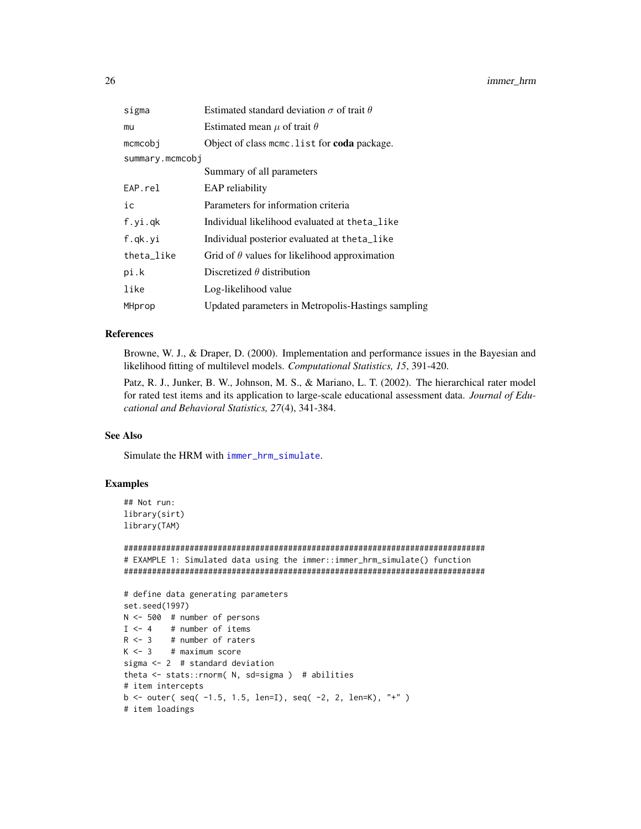<span id="page-25-0"></span>

| sigma           | Estimated standard deviation $\sigma$ of trait $\theta$ |
|-----------------|---------------------------------------------------------|
| mu              | Estimated mean $\mu$ of trait $\theta$                  |
| mcmcobi         | Object of class mcmc. list for <b>coda</b> package.     |
| summary.mcmcobj |                                                         |
|                 | Summary of all parameters                               |
| EAP.rel         | EAP reliability                                         |
| ic              | Parameters for information criteria                     |
| f.yi.qk         | Individual likelihood evaluated at theta_like           |
| f.qk.yi         | Individual posterior evaluated at the ta_like           |
| theta_like      | Grid of $\theta$ values for likelihood approximation    |
| pi.k            | Discretized $\theta$ distribution                       |
| like            | Log-likelihood value                                    |
| MHprop          | Updated parameters in Metropolis-Hastings sampling      |

## References

Browne, W. J., & Draper, D. (2000). Implementation and performance issues in the Bayesian and likelihood fitting of multilevel models. *Computational Statistics, 15*, 391-420.

Patz, R. J., Junker, B. W., Johnson, M. S., & Mariano, L. T. (2002). The hierarchical rater model for rated test items and its application to large-scale educational assessment data. *Journal of Educational and Behavioral Statistics, 27*(4), 341-384.

#### See Also

Simulate the HRM with [immer\\_hrm\\_simulate](#page-28-1).

```
## Not run:
library(sirt)
library(TAM)
```

```
#############################################################################
# EXAMPLE 1: Simulated data using the immer::immer_hrm_simulate() function
#############################################################################
```

```
# define data generating parameters
set.seed(1997)
N < -500 # number of persons<br>I < -4 # number of items
          # number of items
R <- 3 # number of raters
K < -3 # maximum score
sigma <- 2 # standard deviation
theta <- stats::rnorm( N, sd=sigma ) # abilities
# item intercepts
b \le outer( seq( -1.5, 1.5, len=I), seq( -2, 2, len=K), "+" )
# item loadings
```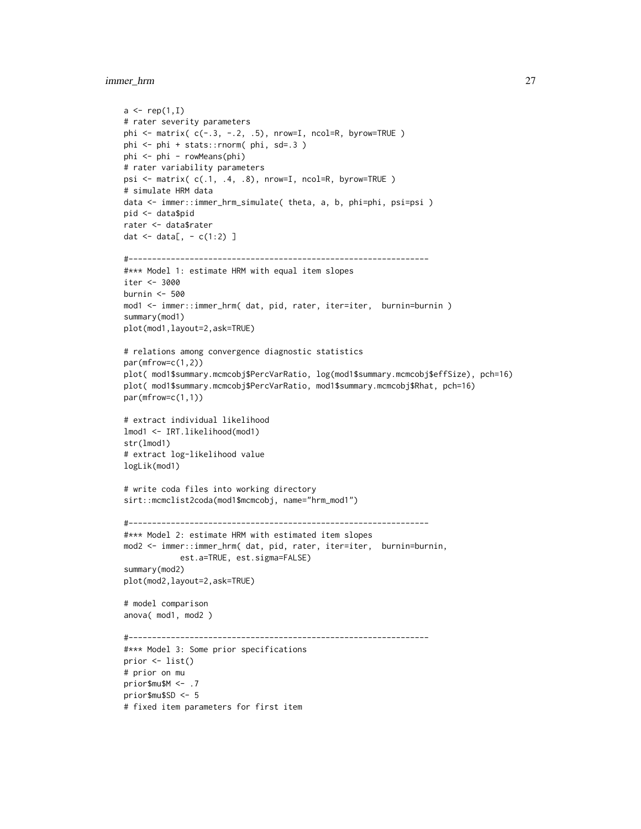## immer\_hrm 27

```
a \leftarrow \text{rep}(1, I)# rater severity parameters
phi <- matrix(c(-.3, -.2, .5), nrow=I, ncol=R, byrow=TRUE)
phi <- phi + stats::rnorm( phi, sd=.3 )
phi <- phi - rowMeans(phi)
# rater variability parameters
psi <- matrix( c(.1, .4, .8), nrow=I, ncol=R, byrow=TRUE )
# simulate HRM data
data <- immer::immer_hrm_simulate( theta, a, b, phi=phi, psi=psi )
pid <- data$pid
rater <- data$rater
dat \le data[, - c(1:2) ]
#----------------------------------------------------------------
#*** Model 1: estimate HRM with equal item slopes
iter <- 3000
burnin <- 500
mod1 <- immer::immer_hrm( dat, pid, rater, iter=iter, burnin=burnin )
summary(mod1)
plot(mod1,layout=2,ask=TRUE)
# relations among convergence diagnostic statistics
par(mfrow=c(1,2))
plot( mod1$summary.mcmcobj$PercVarRatio, log(mod1$summary.mcmcobj$effSize), pch=16)
plot( mod1$summary.mcmcobj$PercVarRatio, mod1$summary.mcmcobj$Rhat, pch=16)
par(mfrow=c(1,1))
# extract individual likelihood
lmod1 <- IRT.likelihood(mod1)
str(lmod1)
# extract log-likelihood value
logLik(mod1)
# write coda files into working directory
sirt::mcmclist2coda(mod1$mcmcobj, name="hrm_mod1")
#----------------------------------------------------------------
#*** Model 2: estimate HRM with estimated item slopes
mod2 <- immer::immer_hrm( dat, pid, rater, iter=iter, burnin=burnin,
            est.a=TRUE, est.sigma=FALSE)
summary(mod2)
plot(mod2,layout=2,ask=TRUE)
# model comparison
anova( mod1, mod2 )
#----------------------------------------------------------------
#*** Model 3: Some prior specifications
prior <- list()
# prior on mu
prior$mu$M <- .7
prior$mu$SD <- 5
# fixed item parameters for first item
```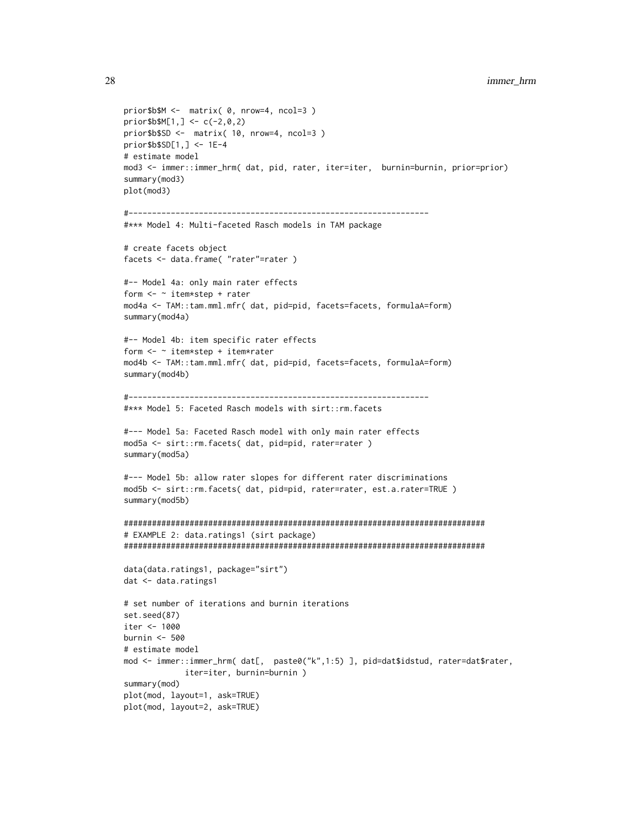```
prior$b$M <- matrix( 0, nrow=4, ncol=3 )
prior$b$M[1,] <- c(-2,0,2)
prior$b$SD <- matrix( 10, nrow=4, ncol=3 )
prior$b$SD[1,] <- 1E-4
# estimate model
mod3 <- immer::immer_hrm( dat, pid, rater, iter=iter, burnin=burnin, prior=prior)
summary(mod3)
plot(mod3)
#----------------------------------------------------------------
#*** Model 4: Multi-faceted Rasch models in TAM package
# create facets object
facets <- data.frame( "rater"=rater )
#-- Model 4a: only main rater effects
form <- ~ item*step + rater
mod4a <- TAM::tam.mml.mfr( dat, pid=pid, facets=facets, formulaA=form)
summary(mod4a)
#-- Model 4b: item specific rater effects
form <- ~ item*step + item*rater
mod4b <- TAM::tam.mml.mfr( dat, pid=pid, facets=facets, formulaA=form)
summary(mod4b)
#----------------------------------------------------------------
#*** Model 5: Faceted Rasch models with sirt::rm.facets
#--- Model 5a: Faceted Rasch model with only main rater effects
mod5a <- sirt::rm.facets( dat, pid=pid, rater=rater )
summary(mod5a)
#--- Model 5b: allow rater slopes for different rater discriminations
mod5b <- sirt::rm.facets( dat, pid=pid, rater=rater, est.a.rater=TRUE )
summary(mod5b)
#############################################################################
# EXAMPLE 2: data.ratings1 (sirt package)
#############################################################################
data(data.ratings1, package="sirt")
dat <- data.ratings1
# set number of iterations and burnin iterations
set.seed(87)
iter <- 1000
burnin <- 500
# estimate model
mod <- immer::immer_hrm( dat[, paste0("k",1:5) ], pid=dat$idstud, rater=dat$rater,
             iter=iter, burnin=burnin )
summary(mod)
plot(mod, layout=1, ask=TRUE)
plot(mod, layout=2, ask=TRUE)
```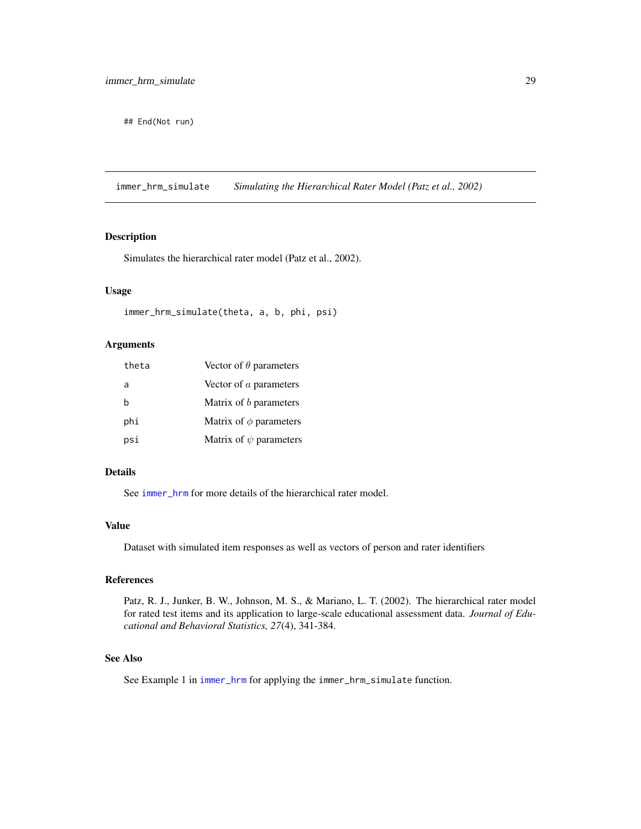<span id="page-28-0"></span>## End(Not run)

<span id="page-28-1"></span>immer\_hrm\_simulate *Simulating the Hierarchical Rater Model (Patz et al., 2002)*

## Description

Simulates the hierarchical rater model (Patz et al., 2002).

#### Usage

```
immer_hrm_simulate(theta, a, b, phi, psi)
```
## Arguments

| theta | Vector of $\theta$ parameters |
|-------|-------------------------------|
| a     | Vector of a parameters        |
| b     | Matrix of b parameters        |
| phi   | Matrix of $\phi$ parameters   |
| psi   | Matrix of $\psi$ parameters   |

## Details

See [immer\\_hrm](#page-23-1) for more details of the hierarchical rater model.

## Value

Dataset with simulated item responses as well as vectors of person and rater identifiers

## References

Patz, R. J., Junker, B. W., Johnson, M. S., & Mariano, L. T. (2002). The hierarchical rater model for rated test items and its application to large-scale educational assessment data. *Journal of Educational and Behavioral Statistics, 27*(4), 341-384.

## See Also

See Example 1 in [immer\\_hrm](#page-23-1) for applying the immer\_hrm\_simulate function.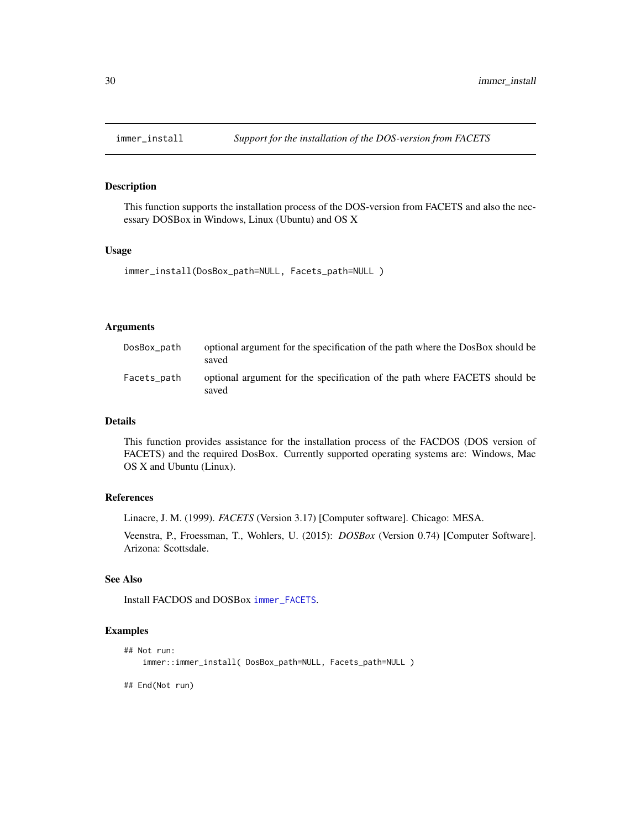<span id="page-29-1"></span><span id="page-29-0"></span>

## Description

This function supports the installation process of the DOS-version from FACETS and also the necessary DOSBox in Windows, Linux (Ubuntu) and OS X

#### Usage

```
immer_install(DosBox_path=NULL, Facets_path=NULL )
```
## Arguments

| DosBox_path | optional argument for the specification of the path where the DosBox should be<br>saved |
|-------------|-----------------------------------------------------------------------------------------|
| Facets_path | optional argument for the specification of the path where FACETS should be<br>saved     |

## Details

This function provides assistance for the installation process of the FACDOS (DOS version of FACETS) and the required DosBox. Currently supported operating systems are: Windows, Mac OS X and Ubuntu (Linux).

## References

Linacre, J. M. (1999). *FACETS* (Version 3.17) [Computer software]. Chicago: MESA.

Veenstra, P., Froessman, T., Wohlers, U. (2015): *DOSBox* (Version 0.74) [Computer Software]. Arizona: Scottsdale.

## See Also

Install FACDOS and DOSBox [immer\\_FACETS](#page-20-1).

## Examples

```
## Not run:
    immer::immer_install( DosBox_path=NULL, Facets_path=NULL )
```
## End(Not run)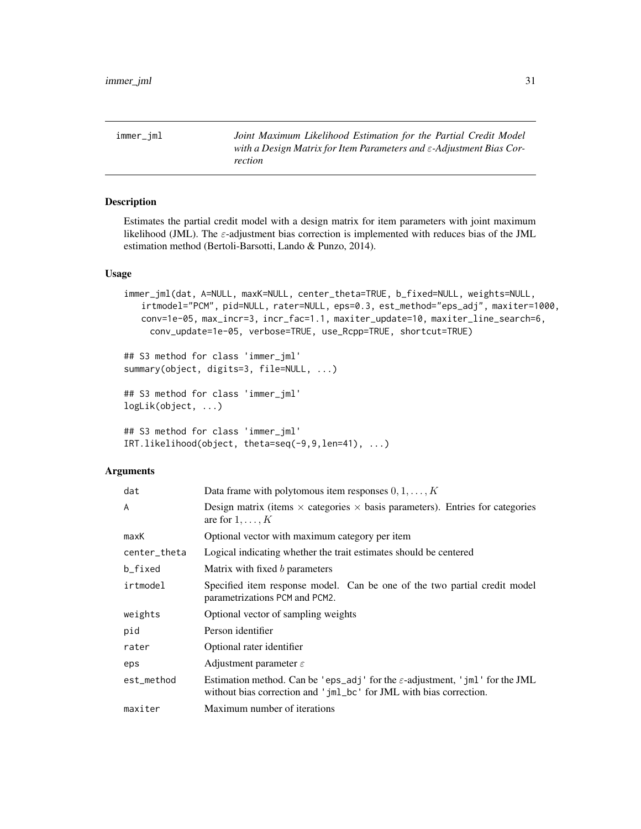<span id="page-30-1"></span><span id="page-30-0"></span>immer\_jml *Joint Maximum Likelihood Estimation for the Partial Credit Model with a Design Matrix for Item Parameters and* ε*-Adjustment Bias Correction*

## Description

Estimates the partial credit model with a design matrix for item parameters with joint maximum likelihood (JML). The  $\varepsilon$ -adjustment bias correction is implemented with reduces bias of the JML estimation method (Bertoli-Barsotti, Lando & Punzo, 2014).

## Usage

```
immer_jml(dat, A=NULL, maxK=NULL, center_theta=TRUE, b_fixed=NULL, weights=NULL,
   irtmodel="PCM", pid=NULL, rater=NULL, eps=0.3, est_method="eps_adj", maxiter=1000,
   conv=1e-05, max_incr=3, incr_fac=1.1, maxiter_update=10, maxiter_line_search=6,
     conv_update=1e-05, verbose=TRUE, use_Rcpp=TRUE, shortcut=TRUE)
```
## S3 method for class 'immer\_jml' summary(object, digits=3, file=NULL, ...)

## S3 method for class 'immer\_jml' logLik(object, ...)

## S3 method for class 'immer\_jml' IRT.likelihood(object, theta=seq(-9,9,len=41), ...)

## Arguments

| dat          | Data frame with polytomous item responses $0, 1, \ldots, K$                                                                                                    |  |
|--------------|----------------------------------------------------------------------------------------------------------------------------------------------------------------|--|
| A            | Design matrix (items $\times$ categories $\times$ basis parameters). Entries for categories<br>are for $1, \ldots, K$                                          |  |
| maxK         | Optional vector with maximum category per item                                                                                                                 |  |
| center_theta | Logical indicating whether the trait estimates should be centered                                                                                              |  |
| b_fixed      | Matrix with fixed <i>b</i> parameters                                                                                                                          |  |
| irtmodel     | Specified item response model. Can be one of the two partial credit model<br>parametrizations PCM and PCM2.                                                    |  |
| weights      | Optional vector of sampling weights                                                                                                                            |  |
| pid          | Person identifier                                                                                                                                              |  |
| rater        | Optional rater identifier                                                                                                                                      |  |
| eps          | Adjustment parameter $\varepsilon$                                                                                                                             |  |
| est_method   | Estimation method. Can be 'eps_adj' for the $\varepsilon$ -adjustment, 'jml' for the JML<br>without bias correction and 'jml_bc' for JML with bias correction. |  |
| maxiter      | Maximum number of iterations                                                                                                                                   |  |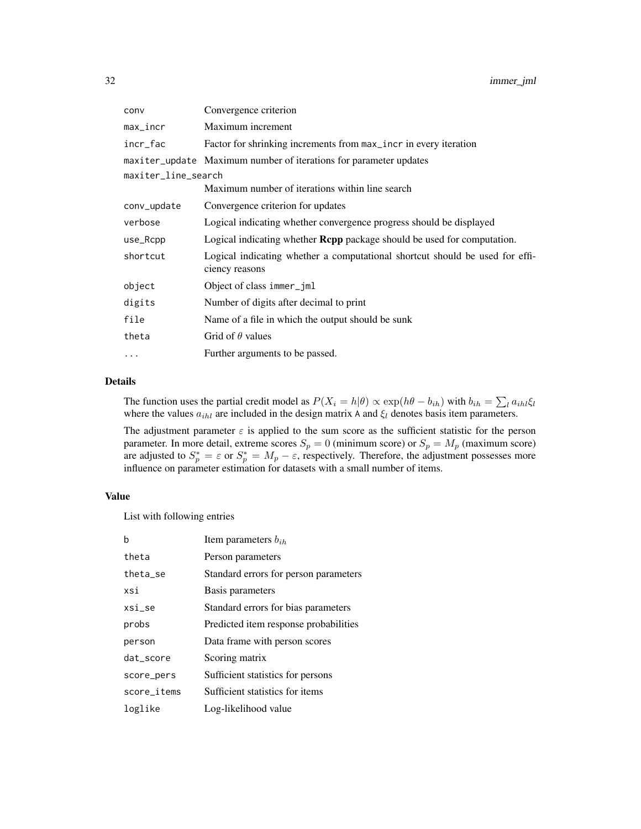| conv                | Convergence criterion                                                                          |
|---------------------|------------------------------------------------------------------------------------------------|
| max_incr            | Maximum increment                                                                              |
| incr_fac            | Factor for shrinking increments from max_incr in every iteration                               |
|                     | maxiter_update Maximum number of iterations for parameter updates                              |
| maxiter_line_search |                                                                                                |
|                     | Maximum number of iterations within line search                                                |
| conv_update         | Convergence criterion for updates                                                              |
| verbose             | Logical indicating whether convergence progress should be displayed                            |
| use_Rcpp            | Logical indicating whether <b>Rcpp</b> package should be used for computation.                 |
| shortcut            | Logical indicating whether a computational shortcut should be used for effi-<br>ciency reasons |
| object              | Object of class immer_jml                                                                      |
| digits              | Number of digits after decimal to print                                                        |
| file                | Name of a file in which the output should be sunk                                              |
| theta               | Grid of $\theta$ values                                                                        |
| .                   | Further arguments to be passed.                                                                |
|                     |                                                                                                |

## Details

The function uses the partial credit model as  $P(X_i = h | \theta) \propto \exp(h\theta - b_{ih})$  with  $b_{ih} = \sum_l a_{ihl} \xi_l$ where the values  $a_{ihl}$  are included in the design matrix A and  $\xi_l$  denotes basis item parameters.

The adjustment parameter  $\varepsilon$  is applied to the sum score as the sufficient statistic for the person parameter. In more detail, extreme scores  $S_p = 0$  (minimum score) or  $S_p = M_p$  (maximum score) are adjusted to  $S_p^* = \varepsilon$  or  $S_p^* = M_p - \varepsilon$ , respectively. Therefore, the adjustment possesses more influence on parameter estimation for datasets with a small number of items.

## Value

List with following entries

| h           | Item parameters $b_{ih}$              |
|-------------|---------------------------------------|
| theta       | Person parameters                     |
| theta se    | Standard errors for person parameters |
| xsi         | Basis parameters                      |
| xsi_se      | Standard errors for bias parameters   |
| probs       | Predicted item response probabilities |
| person      | Data frame with person scores         |
| dat score   | Scoring matrix                        |
| score_pers  | Sufficient statistics for persons     |
| score_items | Sufficient statistics for items       |
| loglike     | Log-likelihood value                  |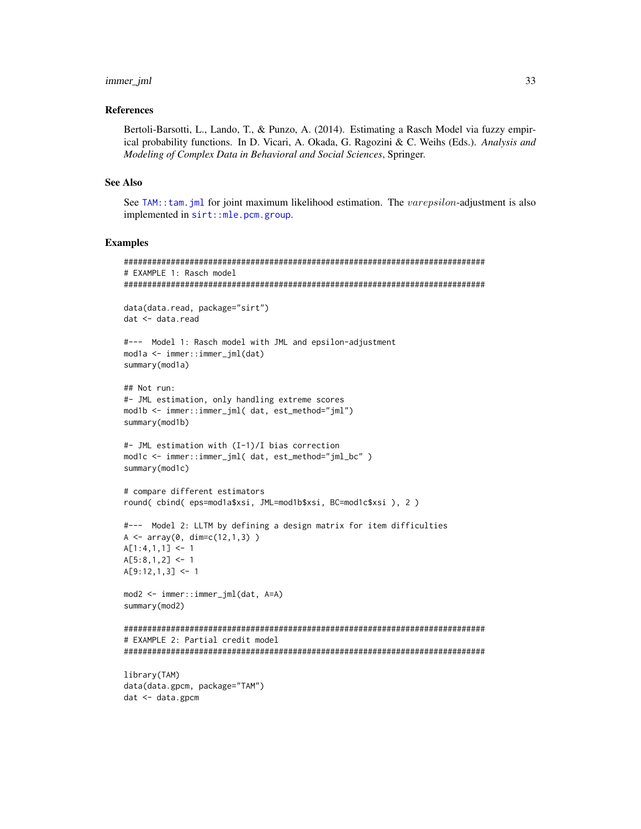#### <span id="page-32-0"></span>immer\_jml

## **References**

Bertoli-Barsotti, L., Lando, T., & Punzo, A. (2014). Estimating a Rasch Model via fuzzy empirical probability functions. In D. Vicari, A. Okada, G. Ragozini & C. Weihs (Eds.). Analysis and Modeling of Complex Data in Behavioral and Social Sciences, Springer.

#### **See Also**

See TAM: : tam. jml for joint maximum likelihood estimation. The varepsilon-adjustment is also implemented in sirt::mle.pcm.group.

```
# EXAMPLE 1: Rasch model
data(data.read, package="sirt")
dat <- data.read
#--- Model 1: Rasch model with JML and epsilon-adjustment
mod1a <- immer::immer_jml(dat)
summary(mod1a)
## Not run:
#- JML estimation, only handling extreme scores
mod1b <- immer::immer_jml( dat, est_method="jml")
summary(mod1b)
#- JML estimation with (I-1)/I bias correction
mod1c <- immer::immer_jml( dat, est_method="jml_bc")
summary(mod1c)
# compare different estimators
round(cbind(eps=modla$xsi, JML=modlb$xsi, BC=modlc$xsi), 2)
#--- Model 2: LLTM by defining a design matrix for item difficulties
A \leftarrow array(0, dim=c(12,1,3))A[1:4,1,1] <- 1
A[5:8,1,2] <- 1
A[9:12,1,3] <- 1
mod2 <- immer::immer_jml(dat, A=A)
summary(mod2)
# EXAMPLE 2: Partial credit model
library(TAM)
data(data.gpcm, package="TAM")
```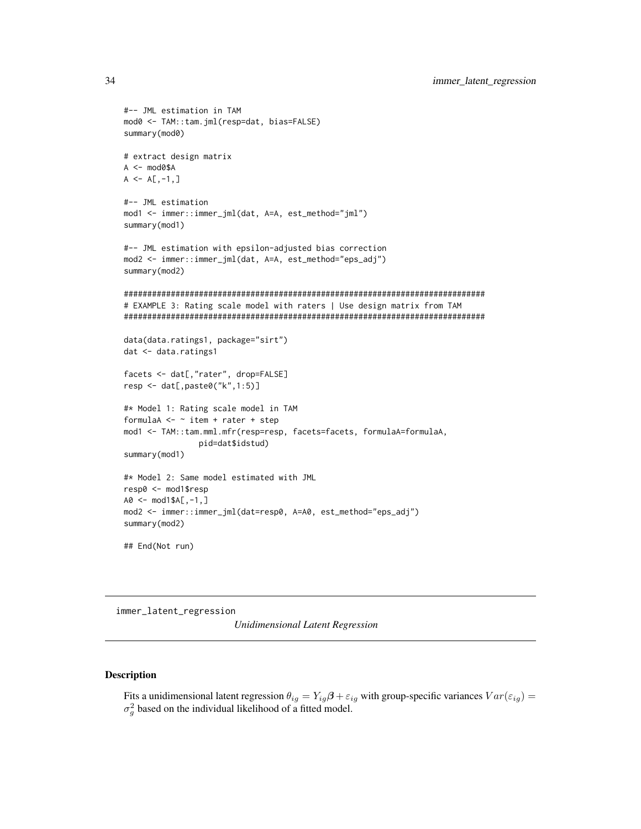```
#-- JML estimation in TAM
mod0 <- TAM::tam.jml(resp=dat, bias=FALSE)
summary(mod0)
# extract design matrix
A \leq - \text{mod}0$A
A \leftarrow A[, -1, ]#-- JML estimation
mod1 <- immer::immer_jml(dat, A=A, est_method="jml")
summary(mod1)
#-- JML estimation with epsilon-adjusted bias correction
mod2 <- immer::immer_jml(dat, A=A, est_method="eps_adj")
summary(mod2)
# EXAMPLE 3: Rating scale model with raters | Use design matrix from TAM
data(data.ratings1, package="sirt")
dat <- data.ratings1
facets <- dat[,"rater", drop=FALSE]
resp <- dat[, paste0("k", 1:5)]
#* Model 1: Rating scale model in TAM
formulaA \leq - item + rater + step
mod1 <- TAM::tam.mml.mfr(resp=resp, facets=facets, formulaA=formulaA,
              pid=dat$idstud)
summary(mod1)
#* Model 2: Same model estimated with JML
resp0 <- mod1$resp
AO \leq mod1$AL, -1, ]mod2 <- immer::immer_jml(dat=resp0, A=A0, est_method="eps_adj")
summary(mod2)
## End(Not run)
```
immer\_latent\_regression

**Unidimensional Latent Regression** 

#### **Description**

Fits a unidimensional latent regression  $\theta_{ig} = Y_{ig}\beta + \varepsilon_{ig}$  with group-specific variances  $Var(\varepsilon_{ig}) =$  $\sigma_q^2$  based on the individual likelihood of a fitted model.

<span id="page-33-0"></span>34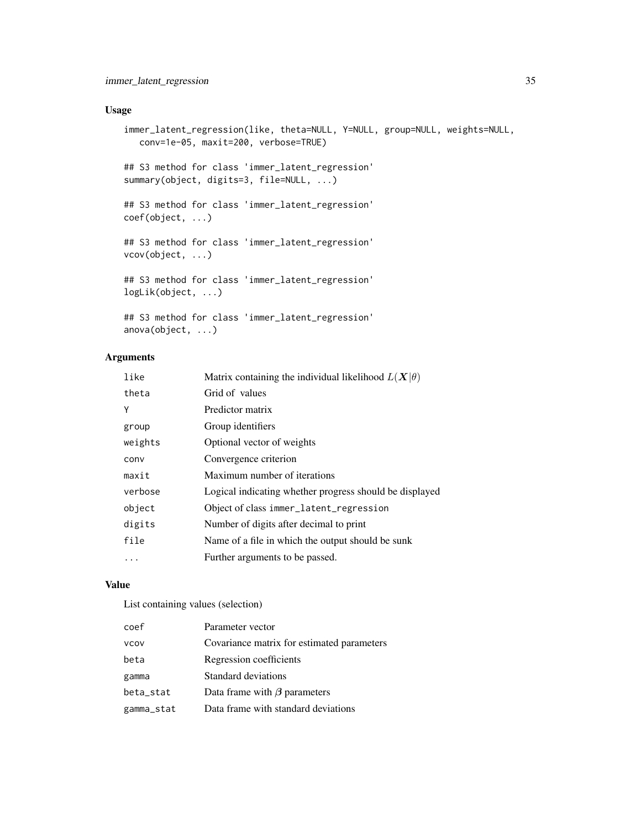## Usage

```
immer_latent_regression(like, theta=NULL, Y=NULL, group=NULL, weights=NULL,
  conv=1e-05, maxit=200, verbose=TRUE)
## S3 method for class 'immer_latent_regression'
summary(object, digits=3, file=NULL, ...)
## S3 method for class 'immer_latent_regression'
coef(object, ...)
## S3 method for class 'immer_latent_regression'
vcov(object, ...)
## S3 method for class 'immer_latent_regression'
logLik(object, ...)
## S3 method for class 'immer_latent_regression'
```

```
anova(object, ...)
```
## Arguments

| like    | Matrix containing the individual likelihood $L(X \theta)$ |
|---------|-----------------------------------------------------------|
| theta   | Grid of values                                            |
| Υ       | Predictor matrix                                          |
| group   | Group identifiers                                         |
| weights | Optional vector of weights                                |
| conv    | Convergence criterion                                     |
| maxit   | Maximum number of iterations                              |
| verbose | Logical indicating whether progress should be displayed   |
| object  | Object of class immer_latent_regression                   |
| digits  | Number of digits after decimal to print                   |
| file    | Name of a file in which the output should be sunk         |
| .       | Further arguments to be passed.                           |

## Value

List containing values (selection)

| <b>VCOV</b><br>Regression coefficients<br>beta<br>Standard deviations<br>gamma<br>Data frame with $\beta$ parameters<br>beta_stat<br>Data frame with standard deviations<br>gamma_stat | coef | Parameter vector                           |
|----------------------------------------------------------------------------------------------------------------------------------------------------------------------------------------|------|--------------------------------------------|
|                                                                                                                                                                                        |      | Covariance matrix for estimated parameters |
|                                                                                                                                                                                        |      |                                            |
|                                                                                                                                                                                        |      |                                            |
|                                                                                                                                                                                        |      |                                            |
|                                                                                                                                                                                        |      |                                            |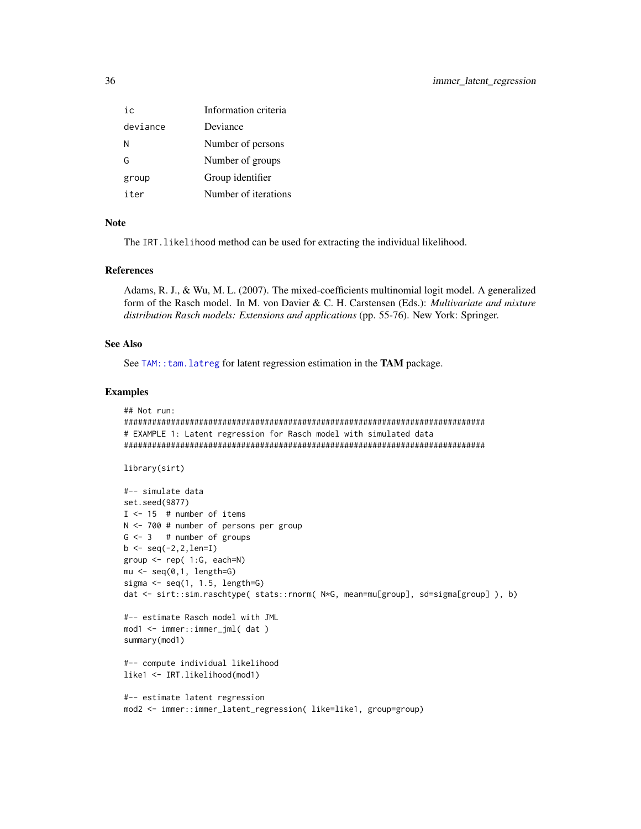<span id="page-35-0"></span>

| iс       | Information criteria |
|----------|----------------------|
| deviance | Deviance             |
| Ν        | Number of persons    |
| G        | Number of groups     |
| group    | Group identifier     |
| iter     | Number of iterations |

#### **Note**

The IRT. likelihood method can be used for extracting the individual likelihood.

#### **References**

Adams, R. J., & Wu, M. L. (2007). The mixed-coefficients multinomial logit model. A generalized form of the Rasch model. In M. von Davier & C. H. Carstensen (Eds.): Multivariate and mixture distribution Rasch models: Extensions and applications (pp. 55-76). New York: Springer.

## **See Also**

See TAM: : tam. latreg for latent regression estimation in the TAM package.

```
## Not run:
# EXAMPLE 1: Latent regression for Rasch model with simulated data
```

```
library(sirt)
```

```
#-- simulate data
set.seed(9877)
I \le -15 # number of items
N \le -700 # number of persons per group
G \le -3 # number of groups
b \leftarrow seq(-2, 2, len=I)group \leq rep( 1:G, each=N)
mu \leftarrow seq(0, 1, length=0)sigma \leq seq(1, 1.5, length=G)
dat <- sirt::sim.raschtype( stats::rnorm( N*G, mean=mu[group], sd=sigma[group]), b)
#-- estimate Rasch model with JML
mod1 <- immer::immer_jml( dat )
summary(mod1)
#-- compute individual likelihood
like1 <- IRT.likelihood(mod1)
#-- estimate latent regression
mod2 <- immer::immer_latent_regression( like=like1, group=group)
```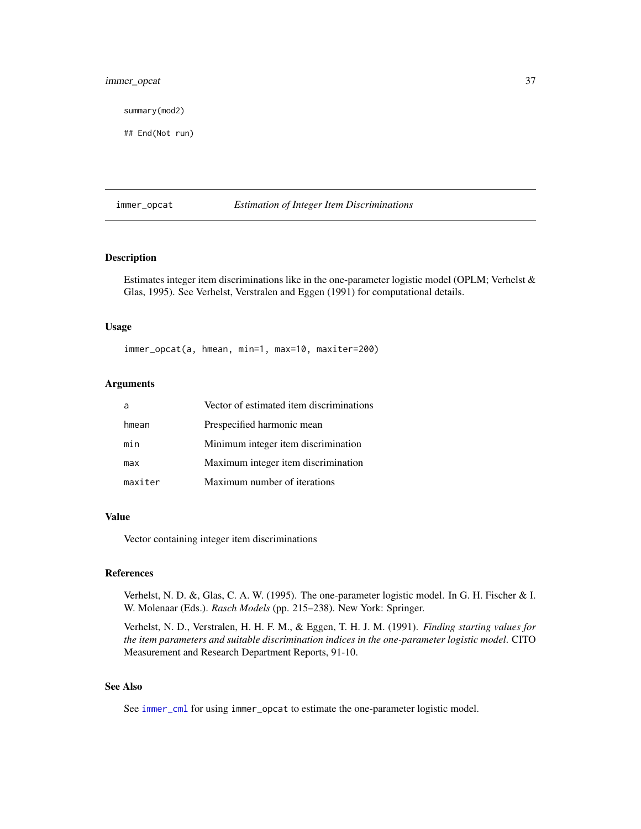## <span id="page-36-0"></span>immer\_opcat 37

summary(mod2)

## End(Not run)

## immer\_opcat *Estimation of Integer Item Discriminations*

## Description

Estimates integer item discriminations like in the one-parameter logistic model (OPLM; Verhelst & Glas, 1995). See Verhelst, Verstralen and Eggen (1991) for computational details.

## Usage

immer\_opcat(a, hmean, min=1, max=10, maxiter=200)

#### Arguments

|         | Vector of estimated item discriminations |
|---------|------------------------------------------|
| hmean   | Prespecified harmonic mean               |
| min     | Minimum integer item discrimination      |
| max     | Maximum integer item discrimination      |
| maxiter | Maximum number of iterations             |

## Value

Vector containing integer item discriminations

#### References

Verhelst, N. D. &, Glas, C. A. W. (1995). The one-parameter logistic model. In G. H. Fischer & I. W. Molenaar (Eds.). *Rasch Models* (pp. 215–238). New York: Springer.

Verhelst, N. D., Verstralen, H. H. F. M., & Eggen, T. H. J. M. (1991). *Finding starting values for the item parameters and suitable discrimination indices in the one-parameter logistic model*. CITO Measurement and Research Department Reports, 91-10.

## See Also

See [immer\\_cml](#page-13-1) for using immer\_opcat to estimate the one-parameter logistic model.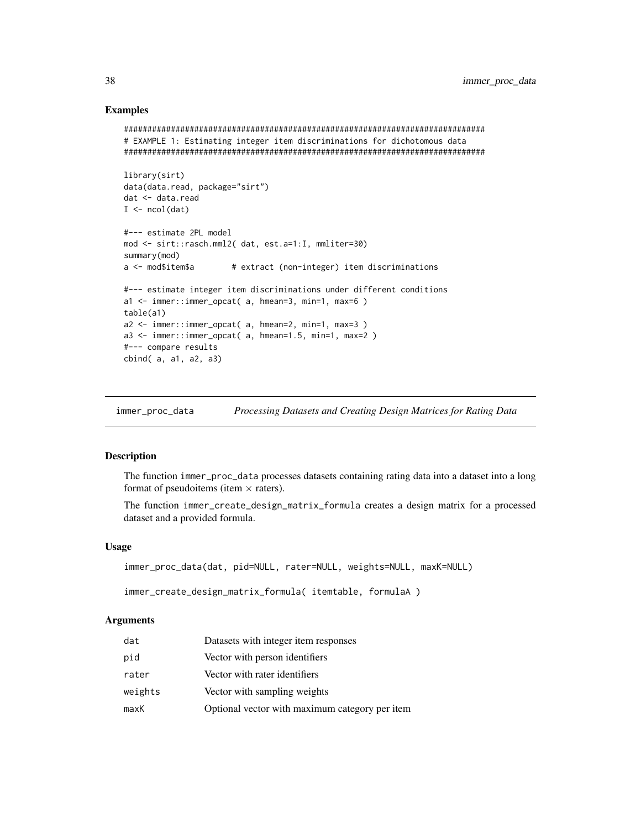## **Examples**

```
# EXAMPLE 1: Estimating integer item discriminations for dichotomous data
library(sirt)
data(data.read, package="sirt")
dat <- data.read
I \leftarrow \text{ncol}(\text{dat})#--- estimate 2PL model
mod <- sirt::rasch.mml2( dat, est.a=1:I, mmliter=30)
summary(mod)
a <- mod$item$a
                  # extract (non-integer) item discriminations
#--- estimate integer item discriminations under different conditions
a1 \leq immer::immer_opcat( a, hmean=3, min=1, max=6 )table(a1)a2 \leq immer::immer_opcat( a, hmean=2, min=1, max=3 )a3 \leq immer::immer\_opcat( a, hmean=1.5, min=1, max=2)#--- compare results
cbind(a, a1, a2, a3)
```
immer\_proc\_data Processing Datasets and Creating Design Matrices for Rating Data

#### **Description**

The function immer\_proc\_data processes datasets containing rating data into a dataset into a long format of pseudoitems (item  $\times$  raters).

The function immer\_create\_design\_matrix\_formula creates a design matrix for a processed dataset and a provided formula.

### **Usage**

```
immer_proc_data(dat, pid=NULL, rater=NULL, weights=NULL, maxK=NULL)
```
immer\_create\_design\_matrix\_formula(itemtable, formulaA)

#### **Arguments**

| dat     | Datasets with integer item responses           |
|---------|------------------------------------------------|
| pid     | Vector with person identifiers                 |
| rater   | Vector with rater identifiers                  |
| weights | Vector with sampling weights                   |
| maxK    | Optional vector with maximum category per item |

<span id="page-37-0"></span>38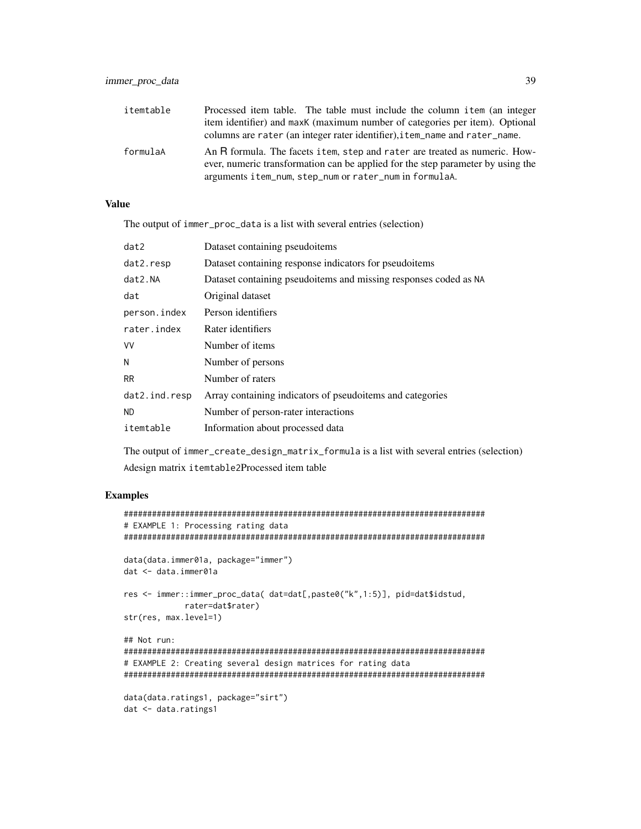| itemtable | Processed item table. The table must include the column item (an integer                                                                                      |
|-----------|---------------------------------------------------------------------------------------------------------------------------------------------------------------|
|           | item identifier) and maxK (maximum number of categories per item). Optional                                                                                   |
|           | columns are rater (an integer rater identifier), item_name and rater_name.                                                                                    |
| formulaA  | An R formula. The facets item, step and rater are treated as numeric. How-<br>ever, numeric transformation can be applied for the step parameter by using the |
|           | arguments item_num, step_num or rater_num in formulaA.                                                                                                        |

#### **Value**

The output of immer\_proc\_data is a list with several entries (selection)

| dat2          | Dataset containing pseudoitems                                   |
|---------------|------------------------------------------------------------------|
| dat2.resp     | Dataset containing response indicators for pseudoitems           |
| dat2.NA       | Dataset containing pseudoitems and missing responses coded as NA |
| dat           | Original dataset                                                 |
| person.index  | Person identifiers                                               |
| rater.index   | Rater identifiers                                                |
| <b>VV</b>     | Number of items                                                  |
| N             | Number of persons                                                |
| <b>RR</b>     | Number of raters                                                 |
| dat2.ind.resp | Array containing indicators of pseudoitems and categories        |
| ND.           | Number of person-rater interactions                              |
| itemtable     | Information about processed data                                 |

The output of immer\_create\_design\_matrix\_formula is a list with several entries (selection) Adesign matrix itemtable2Processed item table

```
# EXAMPLE 1: Processing rating data
data(data.immer01a, package="immer")
dat <- data.immer01a
res <- immer::immer_proc_data( dat=dat[, paste0("k", 1:5)], pid=dat$idstud,
      rater=dat$rater)
str(res, max.level=1)
## Not run:
# EXAMPLE 2: Creating several design matrices for rating data
data(data.ratings1, package="sirt")
dat <- data.ratings1
```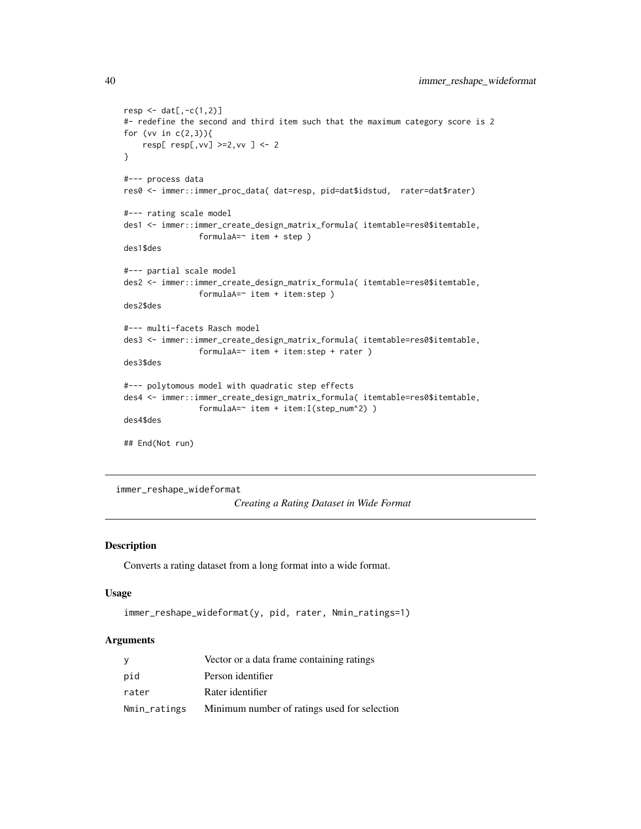```
resp < - \text{dat}[, -c(1,2)]#- redefine the second and third item such that the maximum category score is 2
for (vv in c(2,3)){
    resp[ resp[, vv] >=2, vv] < -2}
#--- process data
res0 <- immer::immer_proc_data( dat=resp, pid=dat$idstud, rater=dat$rater)
#--- rating scale model
des1 <- immer::immer_create_design_matrix_formula( itemtable=res0$itemtable,
                formulaA = " item + step )des1$des
#--- partial scale model
des2 <- immer::immer_create_design_matrix_formula( itemtable=res0$itemtable,
                formulaA = ~ item + item:step)des2$des
#--- multi-facets Rasch model
des3 <- immer::immer_create_design_matrix_formula( itemtable=res0$itemtable,
                formulaA=\sim item + item: step + rater )
des3$des
#--- polytomous model with quadratic step effects
des4 <- immer::immer_create_design_matrix_formula( itemtable=res0$itemtable,
                formulaA=~ item + item: I(step_num^2) )
des4$des
## End(Not run)
```
immer\_reshape\_wideformat

Creating a Rating Dataset in Wide Format

#### Description

Converts a rating dataset from a long format into a wide format.

#### **Usage**

```
immer_reshape_wideformat(y, pid, rater, Nmin_ratings=1)
```
## **Arguments**

| у            | Vector or a data frame containing ratings    |
|--------------|----------------------------------------------|
| pid          | Person identifier                            |
| rater        | Rater identifier                             |
| Nmin_ratings | Minimum number of ratings used for selection |

<span id="page-39-0"></span>40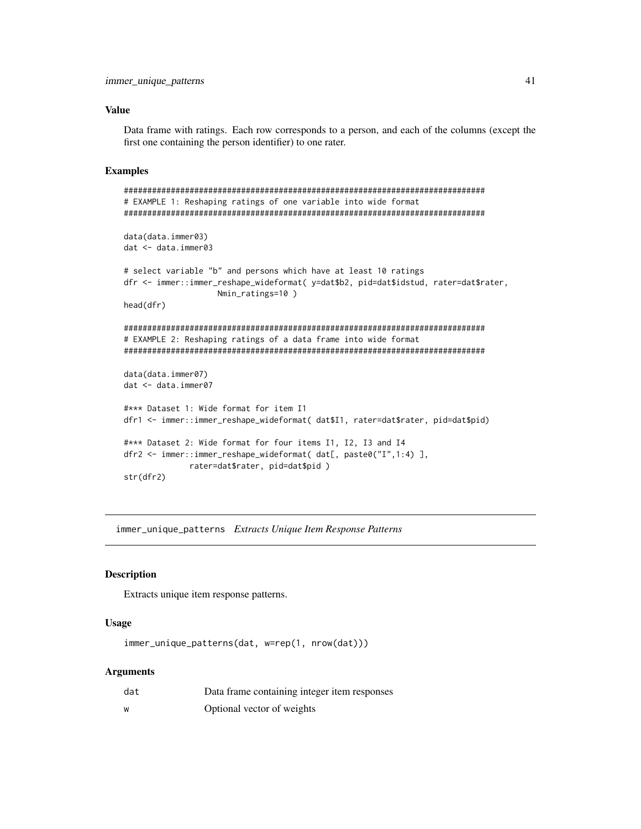## <span id="page-40-0"></span>**Value**

Data frame with ratings. Each row corresponds to a person, and each of the columns (except the first one containing the person identifier) to one rater.

## **Examples**

```
# EXAMPLE 1: Reshaping ratings of one variable into wide format
data(data.immer03)
dat <- data.immer03
# select variable "b" and persons which have at least 10 ratings
dfr <- immer::immer_reshape_wideformat( y=dat$b2, pid=dat$idstud, rater=dat$rater,
             Nmin_ratings=10)
head(dfr)
# EXAMPLE 2: Reshaping ratings of a data frame into wide format
data(data.immer07)
dat <- data.immer07
#*** Dataset 1: Wide format for item I1
dfr1 <- immer::immer_reshape_wideformat( dat$I1, rater=dat$rater, pid=dat$pid)
#*** Dataset 2: Wide format for four items I1, I2, I3 and I4
dfr2 <- immer::immer_reshape_wideformat( dat[, paste0("I",1:4) ],
         rater=dat$rater, pid=dat$pid)
str(dfr2)
```
immer\_unique\_patterns Extracts Unique Item Response Patterns

## **Description**

Extracts unique item response patterns.

## **Usage**

immer\_unique\_patterns(dat, w=rep(1, nrow(dat)))

#### **Arguments**

| dat | Data frame containing integer item responses |
|-----|----------------------------------------------|
| W   | Optional vector of weights                   |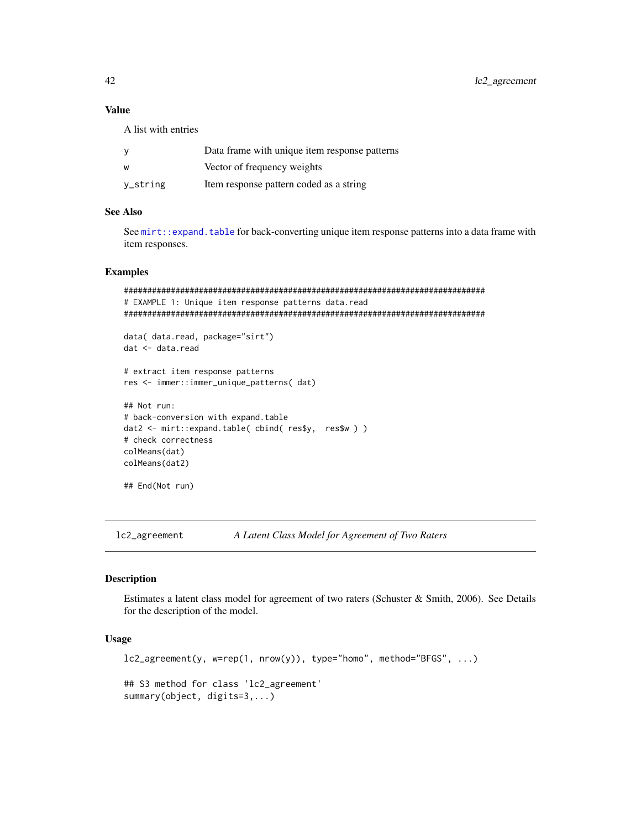## Value

A list with entries

| <b>y</b>           | Data frame with unique item response patterns |
|--------------------|-----------------------------------------------|
| W                  | Vector of frequency weights                   |
| $V_{\rm -}$ string | Item response pattern coded as a string       |

## See Also

See [mirt::expand.table](#page-0-0) for back-converting unique item response patterns into a data frame with item responses.

## Examples

```
#############################################################################
# EXAMPLE 1: Unique item response patterns data.read
#############################################################################
data( data.read, package="sirt")
dat <- data.read
# extract item response patterns
res <- immer::immer_unique_patterns( dat)
## Not run:
# back-conversion with expand.table
dat2 <- mirt::expand.table( cbind( res$y, res$w ) )
# check correctness
colMeans(dat)
colMeans(dat2)
## End(Not run)
```
lc2\_agreement *A Latent Class Model for Agreement of Two Raters*

#### Description

Estimates a latent class model for agreement of two raters (Schuster & Smith, 2006). See Details for the description of the model.

## Usage

```
lc2_agreement(y, w=rep(1, nrow(y)), type="homo", method="BFGS", ...)
## S3 method for class 'lc2_agreement'
summary(object, digits=3,...)
```
<span id="page-41-0"></span>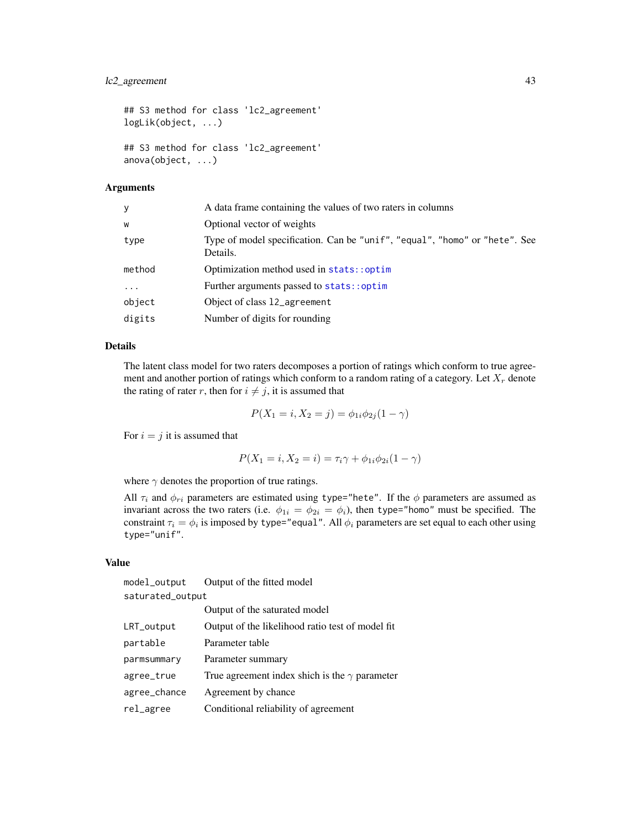## <span id="page-42-0"></span>lc2\_agreement 43

```
## S3 method for class 'lc2_agreement'
logLik(object, ...)
## S3 method for class 'lc2_agreement'
anova(object, ...)
```
#### Arguments

| V        | A data frame containing the values of two raters in columns                            |
|----------|----------------------------------------------------------------------------------------|
| W        | Optional vector of weights                                                             |
| type     | Type of model specification. Can be "unif", "equal", "homo" or "hete". See<br>Details. |
| method   | Optimization method used in stats::optim                                               |
| $\ddots$ | Further arguments passed to stats::optim                                               |
| object   | Object of class 12_agreement                                                           |
| digits   | Number of digits for rounding                                                          |

## Details

The latent class model for two raters decomposes a portion of ratings which conform to true agreement and another portion of ratings which conform to a random rating of a category. Let  $X_r$  denote the rating of rater r, then for  $i \neq j$ , it is assumed that

$$
P(X_1 = i, X_2 = j) = \phi_{1i}\phi_{2j}(1 - \gamma)
$$

For  $i = j$  it is assumed that

$$
P(X_1 = i, X_2 = i) = \tau_i \gamma + \phi_{1i} \phi_{2i} (1 - \gamma)
$$

where  $\gamma$  denotes the proportion of true ratings.

All  $\tau_i$  and  $\phi_{ri}$  parameters are estimated using type="hete". If the  $\phi$  parameters are assumed as invariant across the two raters (i.e.  $\phi_{1i} = \phi_{2i} = \phi_i$ ), then type="homo" must be specified. The constraint  $\tau_i = \phi_i$  is imposed by type="equal". All  $\phi_i$  parameters are set equal to each other using type="unif".

#### Value

model\_output Output of the fitted model saturated\_output Output of the saturated model

|              | $\sim$ 0.00 0.00 0.000 0.000 0.000 0.000 0.000 0.000 0.000 0.000 0.000 0.000 0.000 0.000 0.000 0.000 0.000 0.000 0.000 0.000 0.000 0.000 0.000 0.000 0.000 0.000 0.000 0.000 0.000 0.000 0.000 0.000 0.000 0.000 0.000 0.000 0. |
|--------------|---------------------------------------------------------------------------------------------------------------------------------------------------------------------------------------------------------------------------------|
| LRT_output   | Output of the likelihood ratio test of model fit.                                                                                                                                                                               |
| partable     | Parameter table                                                                                                                                                                                                                 |
| parmsummary  | Parameter summary                                                                                                                                                                                                               |
| agree_true   | True agreement index shich is the $\gamma$ parameter                                                                                                                                                                            |
| agree_chance | Agreement by chance                                                                                                                                                                                                             |
| rel_agree    | Conditional reliability of agreement                                                                                                                                                                                            |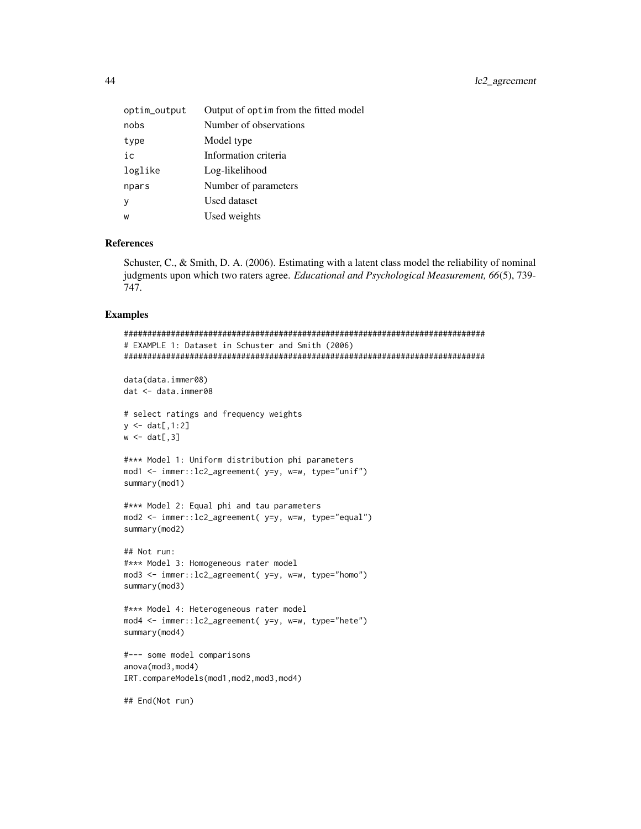| optim_output | Output of optime from the fitted model |
|--------------|----------------------------------------|
| nobs         | Number of observations                 |
| type         | Model type                             |
| ic           | Information criteria                   |
| loglike      | Log-likelihood                         |
| npars        | Number of parameters                   |
| v            | Used dataset                           |
| W            | Used weights                           |

#### **References**

Schuster, C., & Smith, D. A. (2006). Estimating with a latent class model the reliability of nominal judgments upon which two raters agree. Educational and Psychological Measurement, 66(5), 739-747.

```
# EXAMPLE 1: Dataset in Schuster and Smith (2006)
data(data.immer08)
dat <- data.immer08
# select ratings and frequency weights
y \leftarrow \text{dat}[, 1:2]w \leftarrow dat[, 3]#*** Model 1: Uniform distribution phi parameters
mod1 <- immer::lc2_agreement( y=y, w=w, type="unif")
summary(mod1)
#*** Model 2: Equal phi and tau parameters
mod2 <- immer::lc2_agreement( y=y, w=w, type="equal")
summary(mod2)
## Not run:
#*** Model 3: Homogeneous rater model
mod3 <- immer::lc2_agreement( y=y, w=w, type="homo")
summary(mod3)
#*** Model 4: Heterogeneous rater model
mod4 <- immer::lc2_agreement( y=y, w=w, type="hete")
summary(mod4)
#--- some model comparisons
anova(mod3, mod4)
IRT.compareModels(mod1,mod2,mod3,mod4)
## End(Not run)
```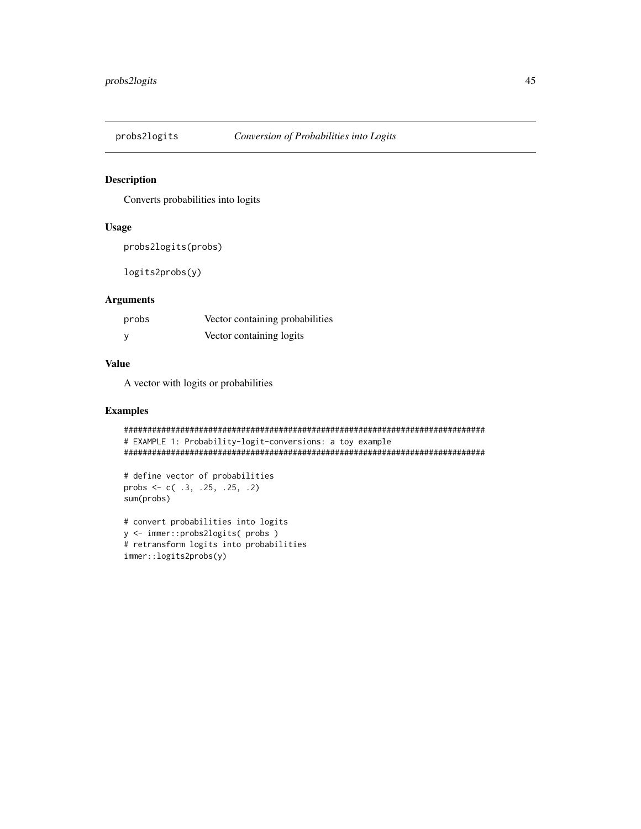<span id="page-44-0"></span>

## Description

Converts probabilities into logits

## Usage

```
probs2logits(probs)
```
logits2probs(y)

## Arguments

| probs | Vector containing probabilities |
|-------|---------------------------------|
|       | Vector containing logits        |

## Value

A vector with logits or probabilities

```
#############################################################################
# EXAMPLE 1: Probability-logit-conversions: a toy example
#############################################################################
```

```
# define vector of probabilities
probs <- c( .3, .25, .25, .2)
sum(probs)
```

```
# convert probabilities into logits
y <- immer::probs2logits( probs )
# retransform logits into probabilities
immer::logits2probs(y)
```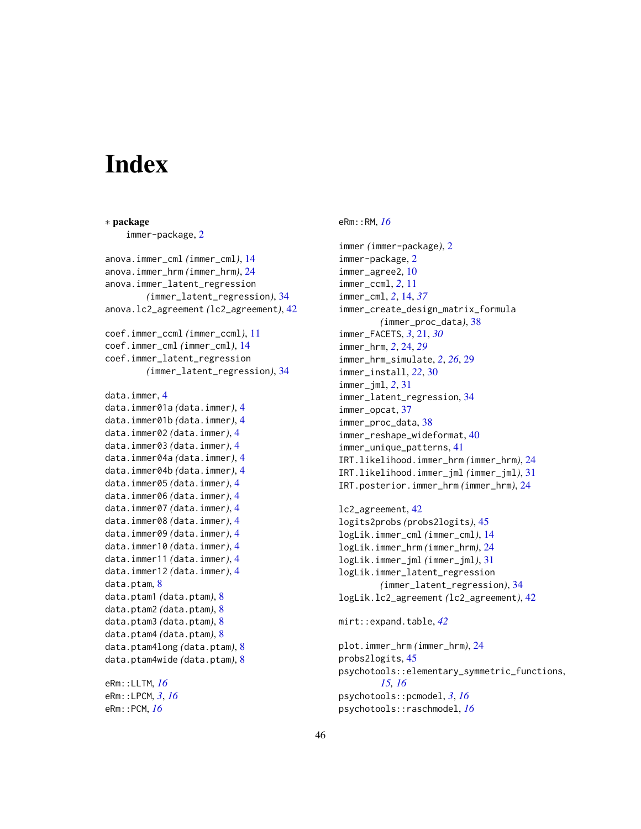# <span id="page-45-0"></span>**Index**

∗ package immer-package, [2](#page-1-0) anova.immer\_cml *(*immer\_cml*)*, [14](#page-13-0) anova.immer\_hrm *(*immer\_hrm*)*, [24](#page-23-0) anova.immer\_latent\_regression *(*immer\_latent\_regression*)*, [34](#page-33-0) anova.lc2\_agreement *(*lc2\_agreement*)*, [42](#page-41-0) coef.immer\_ccml *(*immer\_ccml*)*, [11](#page-10-0) coef.immer\_cml *(*immer\_cml*)*, [14](#page-13-0) coef.immer\_latent\_regression *(*immer\_latent\_regression*)*, [34](#page-33-0) data.immer, [4](#page-3-0) data.immer01a *(*data.immer*)*, [4](#page-3-0) data.immer01b *(*data.immer*)*, [4](#page-3-0) data.immer02 *(*data.immer*)*, [4](#page-3-0) data.immer03 *(*data.immer*)*, [4](#page-3-0) data.immer04a *(*data.immer*)*, [4](#page-3-0) data.immer04b *(*data.immer*)*, [4](#page-3-0) data.immer05 *(*data.immer*)*, [4](#page-3-0) data.immer06 *(*data.immer*)*, [4](#page-3-0) data.immer07 *(*data.immer*)*, [4](#page-3-0) data.immer08 *(*data.immer*)*, [4](#page-3-0) data.immer09 *(*data.immer*)*, [4](#page-3-0) data.immer10 *(*data.immer*)*, [4](#page-3-0) data.immer11 *(*data.immer*)*, [4](#page-3-0) data.immer12 *(*data.immer*)*, [4](#page-3-0) data.ptam, [8](#page-7-0) data.ptam1 *(*data.ptam*)*, [8](#page-7-0) data.ptam2 *(*data.ptam*)*, [8](#page-7-0) data.ptam3 *(*data.ptam*)*, [8](#page-7-0) data.ptam4 *(*data.ptam*)*, [8](#page-7-0) data.ptam4long *(*data.ptam*)*, [8](#page-7-0) data.ptam4wide *(*data.ptam*)*, [8](#page-7-0) eRm::LLTM, *[16](#page-15-0)*

eRm::LPCM, *[3](#page-2-0)*, *[16](#page-15-0)* eRm::PCM, *[16](#page-15-0)*

eRm::RM, *[16](#page-15-0)*

immer *(*immer-package*)*, [2](#page-1-0) immer-package, [2](#page-1-0) immer\_agree2, [10](#page-9-0) immer\_ccml, *[2](#page-1-0)*, [11](#page-10-0) immer\_cml, *[2](#page-1-0)*, [14,](#page-13-0) *[37](#page-36-0)* immer\_create\_design\_matrix\_formula *(*immer\_proc\_data*)*, [38](#page-37-0) immer\_FACETS, *[3](#page-2-0)*, [21,](#page-20-0) *[30](#page-29-0)* immer\_hrm, *[2](#page-1-0)*, [24,](#page-23-0) *[29](#page-28-0)* immer\_hrm\_simulate, *[2](#page-1-0)*, *[26](#page-25-0)*, [29](#page-28-0) immer\_install, *[22](#page-21-0)*, [30](#page-29-0) immer\_jml, *[2](#page-1-0)*, [31](#page-30-0) immer\_latent\_regression, [34](#page-33-0) immer\_opcat, [37](#page-36-0) immer\_proc\_data, [38](#page-37-0) immer\_reshape\_wideformat, [40](#page-39-0) immer\_unique\_patterns, [41](#page-40-0) IRT.likelihood.immer\_hrm *(*immer\_hrm*)*, [24](#page-23-0) IRT.likelihood.immer\_jml *(*immer\_jml*)*, [31](#page-30-0) IRT.posterior.immer\_hrm *(*immer\_hrm*)*, [24](#page-23-0) lc2\_agreement, [42](#page-41-0) logits2probs *(*probs2logits*)*, [45](#page-44-0) logLik.immer\_cml *(*immer\_cml*)*, [14](#page-13-0) logLik.immer\_hrm *(*immer\_hrm*)*, [24](#page-23-0) logLik.immer\_jml *(*immer\_jml*)*, [31](#page-30-0) logLik.immer\_latent\_regression *(*immer\_latent\_regression*)*, [34](#page-33-0) logLik.lc2\_agreement *(*lc2\_agreement*)*, [42](#page-41-0) mirt::expand.table, *[42](#page-41-0)* plot.immer\_hrm *(*immer\_hrm*)*, [24](#page-23-0) probs2logits, [45](#page-44-0) psychotools::elementary\_symmetric\_functions, *[15,](#page-14-0) [16](#page-15-0)* psychotools::pcmodel, *[3](#page-2-0)*, *[16](#page-15-0)*

psychotools::raschmodel, *[16](#page-15-0)*